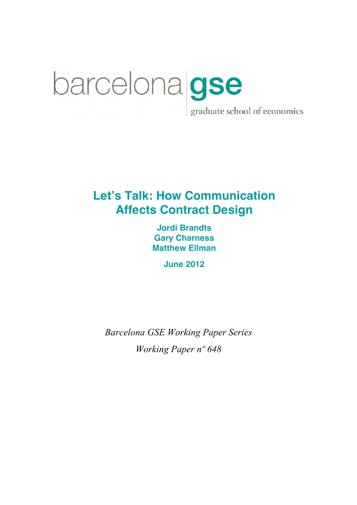# barcelona gse graduate school of economics

## **Let's Talk: How Communication Affects Contract Design**

**Jordi Brandts Gary Charness Matthew Ellman**

**June 2012**

*Barcelona GSE Working Paper Series Working Paper nº 648*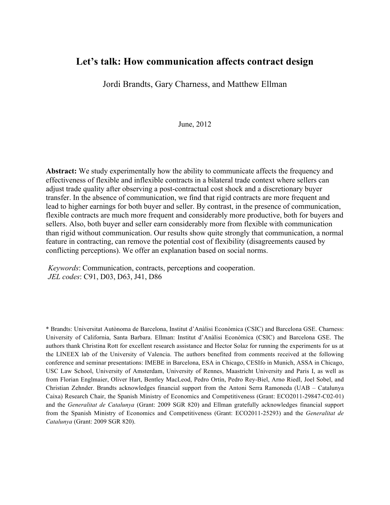## **Let's talk: How communication affects contract design**

Jordi Brandts, Gary Charness, and Matthew Ellman

June, 2012

**Abstract:** We study experimentally how the ability to communicate affects the frequency and effectiveness of flexible and inflexible contracts in a bilateral trade context where sellers can adjust trade quality after observing a post-contractual cost shock and a discretionary buyer transfer. In the absence of communication, we find that rigid contracts are more frequent and lead to higher earnings for both buyer and seller. By contrast, in the presence of communication, flexible contracts are much more frequent and considerably more productive, both for buyers and sellers. Also, both buyer and seller earn considerably more from flexible with communication than rigid without communication. Our results show quite strongly that communication, a normal feature in contracting, can remove the potential cost of flexibility (disagreements caused by conflicting perceptions). We offer an explanation based on social norms.

*Keywords*: Communication, contracts, perceptions and cooperation. *JEL codes*: C91, D03, D63, J41, D86

\* Brandts: Universitat Autònoma de Barcelona, Institut d'Anàlisi Econòmica (CSIC) and Barcelona GSE. Charness: University of California, Santa Barbara. Ellman: Institut d'Anàlisi Econòmica (CSIC) and Barcelona GSE. The authors thank Christina Rott for excellent research assistance and Hector Solaz for running the experiments for us at the LINEEX lab of the University of Valencia. The authors benefited from comments received at the following conference and seminar presentations: IMEBE in Barcelona, ESA in Chicago, CESIfo in Munich, ASSA in Chicago, USC Law School, University of Amsterdam, University of Rennes, Maastricht University and Paris I, as well as from Florian Englmaier, Oliver Hart, Bentley MacLeod, Pedro Ortín, Pedro Rey-Biel, Arno Riedl, Joel Sobel, and Christian Zehnder. Brandts acknowledges financial support from the Antoni Serra Ramoneda (UAB – Catalunya Caixa) Research Chair, the Spanish Ministry of Economics and Competitiveness (Grant: ECO2011-29847-C02-01) and the *Generalitat de Catalunya* (Grant: 2009 SGR 820) and Ellman gratefully acknowledges financial support from the Spanish Ministry of Economics and Competitiveness (Grant: ECO2011-25293) and the *Generalitat de Catalunya* (Grant: 2009 SGR 820).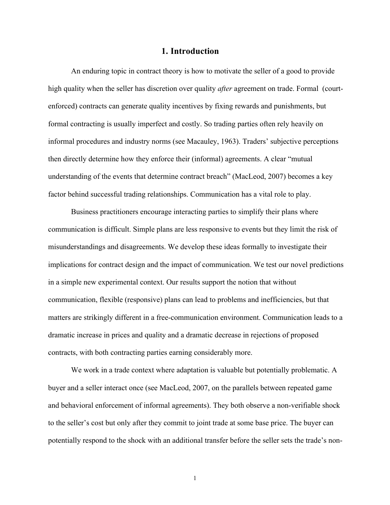#### **1. Introduction**

An enduring topic in contract theory is how to motivate the seller of a good to provide high quality when the seller has discretion over quality *after* agreement on trade. Formal (courtenforced) contracts can generate quality incentives by fixing rewards and punishments, but formal contracting is usually imperfect and costly. So trading parties often rely heavily on informal procedures and industry norms (see Macauley, 1963). Traders' subjective perceptions then directly determine how they enforce their (informal) agreements. A clear "mutual understanding of the events that determine contract breach" (MacLeod, 2007) becomes a key factor behind successful trading relationships. Communication has a vital role to play.

Business practitioners encourage interacting parties to simplify their plans where communication is difficult. Simple plans are less responsive to events but they limit the risk of misunderstandings and disagreements. We develop these ideas formally to investigate their implications for contract design and the impact of communication. We test our novel predictions in a simple new experimental context. Our results support the notion that without communication, flexible (responsive) plans can lead to problems and inefficiencies, but that matters are strikingly different in a free-communication environment. Communication leads to a dramatic increase in prices and quality and a dramatic decrease in rejections of proposed contracts, with both contracting parties earning considerably more.

We work in a trade context where adaptation is valuable but potentially problematic. A buyer and a seller interact once (see MacLeod, 2007, on the parallels between repeated game and behavioral enforcement of informal agreements). They both observe a non-verifiable shock to the seller's cost but only after they commit to joint trade at some base price. The buyer can potentially respond to the shock with an additional transfer before the seller sets the trade's non-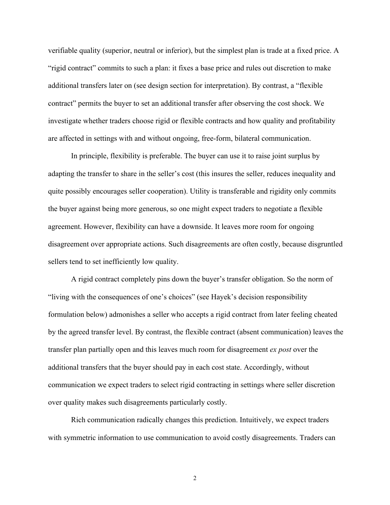verifiable quality (superior, neutral or inferior), but the simplest plan is trade at a fixed price. A "rigid contract" commits to such a plan: it fixes a base price and rules out discretion to make additional transfers later on (see design section for interpretation). By contrast, a "flexible contract" permits the buyer to set an additional transfer after observing the cost shock. We investigate whether traders choose rigid or flexible contracts and how quality and profitability are affected in settings with and without ongoing, free-form, bilateral communication.

In principle, flexibility is preferable. The buyer can use it to raise joint surplus by adapting the transfer to share in the seller's cost (this insures the seller, reduces inequality and quite possibly encourages seller cooperation). Utility is transferable and rigidity only commits the buyer against being more generous, so one might expect traders to negotiate a flexible agreement. However, flexibility can have a downside. It leaves more room for ongoing disagreement over appropriate actions. Such disagreements are often costly, because disgruntled sellers tend to set inefficiently low quality.

A rigid contract completely pins down the buyer's transfer obligation. So the norm of "living with the consequences of one's choices" (see Hayek's decision responsibility formulation below) admonishes a seller who accepts a rigid contract from later feeling cheated by the agreed transfer level. By contrast, the flexible contract (absent communication) leaves the transfer plan partially open and this leaves much room for disagreement *ex post* over the additional transfers that the buyer should pay in each cost state. Accordingly, without communication we expect traders to select rigid contracting in settings where seller discretion over quality makes such disagreements particularly costly.

Rich communication radically changes this prediction. Intuitively, we expect traders with symmetric information to use communication to avoid costly disagreements. Traders can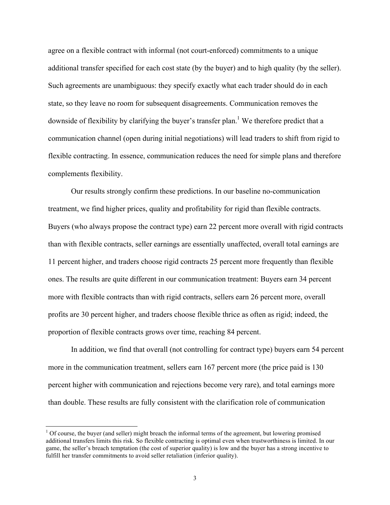agree on a flexible contract with informal (not court-enforced) commitments to a unique additional transfer specified for each cost state (by the buyer) and to high quality (by the seller). Such agreements are unambiguous: they specify exactly what each trader should do in each state, so they leave no room for subsequent disagreements. Communication removes the downside of flexibility by clarifying the buyer's transfer plan.<sup>1</sup> We therefore predict that a communication channel (open during initial negotiations) will lead traders to shift from rigid to flexible contracting. In essence, communication reduces the need for simple plans and therefore complements flexibility.

Our results strongly confirm these predictions. In our baseline no-communication treatment, we find higher prices, quality and profitability for rigid than flexible contracts. Buyers (who always propose the contract type) earn 22 percent more overall with rigid contracts than with flexible contracts, seller earnings are essentially unaffected, overall total earnings are 11 percent higher, and traders choose rigid contracts 25 percent more frequently than flexible ones. The results are quite different in our communication treatment: Buyers earn 34 percent more with flexible contracts than with rigid contracts, sellers earn 26 percent more, overall profits are 30 percent higher, and traders choose flexible thrice as often as rigid; indeed, the proportion of flexible contracts grows over time, reaching 84 percent.

In addition, we find that overall (not controlling for contract type) buyers earn 54 percent more in the communication treatment, sellers earn 167 percent more (the price paid is 130 percent higher with communication and rejections become very rare), and total earnings more than double. These results are fully consistent with the clarification role of communication

 $<sup>1</sup>$  Of course, the buyer (and seller) might breach the informal terms of the agreement, but lowering promised</sup> additional transfers limits this risk. So flexible contracting is optimal even when trustworthiness is limited. In our game, the seller's breach temptation (the cost of superior quality) is low and the buyer has a strong incentive to fulfill her transfer commitments to avoid seller retaliation (inferior quality).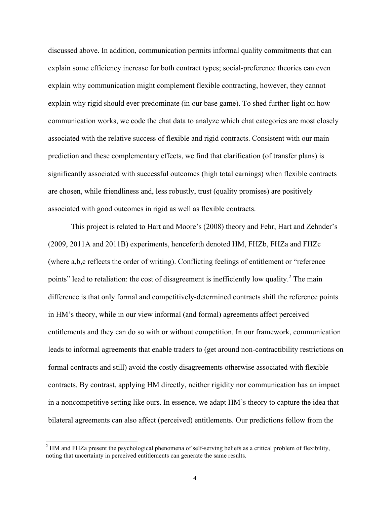discussed above. In addition, communication permits informal quality commitments that can explain some efficiency increase for both contract types; social-preference theories can even explain why communication might complement flexible contracting, however, they cannot explain why rigid should ever predominate (in our base game). To shed further light on how communication works, we code the chat data to analyze which chat categories are most closely associated with the relative success of flexible and rigid contracts. Consistent with our main prediction and these complementary effects, we find that clarification (of transfer plans) is significantly associated with successful outcomes (high total earnings) when flexible contracts are chosen, while friendliness and, less robustly, trust (quality promises) are positively associated with good outcomes in rigid as well as flexible contracts.

This project is related to Hart and Moore's (2008) theory and Fehr, Hart and Zehnder's (2009, 2011A and 2011B) experiments, henceforth denoted HM, FHZb, FHZa and FHZc (where a,b,c reflects the order of writing). Conflicting feelings of entitlement or "reference points" lead to retaliation: the cost of disagreement is inefficiently low quality.<sup>2</sup> The main difference is that only formal and competitively-determined contracts shift the reference points in HM's theory, while in our view informal (and formal) agreements affect perceived entitlements and they can do so with or without competition. In our framework, communication leads to informal agreements that enable traders to (get around non-contractibility restrictions on formal contracts and still) avoid the costly disagreements otherwise associated with flexible contracts. By contrast, applying HM directly, neither rigidity nor communication has an impact in a noncompetitive setting like ours. In essence, we adapt HM's theory to capture the idea that bilateral agreements can also affect (perceived) entitlements. Our predictions follow from the

 $<sup>2</sup>$  HM and FHZa present the psychological phenomena of self-serving beliefs as a critical problem of flexibility,</sup> noting that uncertainty in perceived entitlements can generate the same results.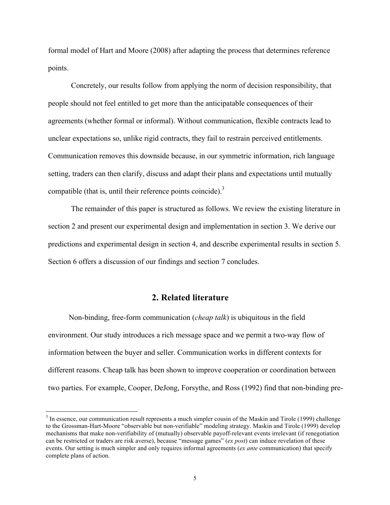formal model of Hart and Moore (2008) after adapting the process that determines reference points.

Concretely, our results follow from applying the norm of decision responsibility, that people should not feel entitled to get more than the anticipatable consequences of their agreements (whether formal or informal). Without communication, flexible contracts lead to unclear expectations so, unlike rigid contracts, they fail to restrain perceived entitlements. Communication removes this downside because, in our symmetric information, rich language setting, traders can then clarify, discuss and adapt their plans and expectations until mutually compatible (that is, until their reference points coincide). $3$ 

The remainder of this paper is structured as follows. We review the existing literature in section 2 and present our experimental design and implementation in section 3. We derive our predictions and experimental design in section 4, and describe experimental results in section 5. Section 6 offers a discussion of our findings and section 7 concludes.

#### **2. Related literature**

Non-binding, free-form communication (*cheap talk*) is ubiquitous in the field environment. Our study introduces a rich message space and we permit a two-way flow of information between the buyer and seller. Communication works in different contexts for different reasons. Cheap talk has been shown to improve cooperation or coordination between two parties. For example, Cooper, DeJong, Forsythe, and Ross (1992) find that non-binding pre-

<sup>&</sup>lt;sup>3</sup> In essence, our communication result represents a much simpler cousin of the Maskin and Tirole (1999) challenge to the Grossman-Hart-Moore "observable but non-verifiable" modeling strategy. Maskin and Tirole (1999) develop mechanisms that make non-verifiability of (mutually) observable payoff-relevant events irrelevant (if renegotiation can be restricted or traders are risk averse), because "message games" (*ex post*) can induce revelation of these events. Our setting is much simpler and only requires informal agreements (*ex ante* communication) that specify complete plans of action.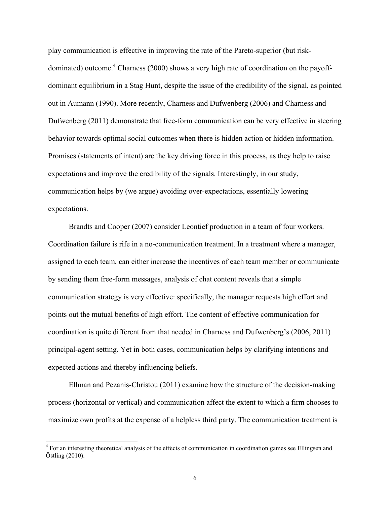play communication is effective in improving the rate of the Pareto-superior (but riskdominated) outcome.<sup>4</sup> Charness (2000) shows a very high rate of coordination on the payoffdominant equilibrium in a Stag Hunt, despite the issue of the credibility of the signal, as pointed out in Aumann (1990). More recently, Charness and Dufwenberg (2006) and Charness and Dufwenberg (2011) demonstrate that free-form communication can be very effective in steering behavior towards optimal social outcomes when there is hidden action or hidden information. Promises (statements of intent) are the key driving force in this process, as they help to raise expectations and improve the credibility of the signals. Interestingly, in our study, communication helps by (we argue) avoiding over-expectations, essentially lowering expectations.

Brandts and Cooper (2007) consider Leontief production in a team of four workers. Coordination failure is rife in a no-communication treatment. In a treatment where a manager, assigned to each team, can either increase the incentives of each team member or communicate by sending them free-form messages, analysis of chat content reveals that a simple communication strategy is very effective: specifically, the manager requests high effort and points out the mutual benefits of high effort. The content of effective communication for coordination is quite different from that needed in Charness and Dufwenberg's (2006, 2011) principal-agent setting. Yet in both cases, communication helps by clarifying intentions and expected actions and thereby influencing beliefs.

Ellman and Pezanis-Christou (2011) examine how the structure of the decision-making process (horizontal or vertical) and communication affect the extent to which a firm chooses to maximize own profits at the expense of a helpless third party. The communication treatment is

 <sup>4</sup> For an interesting theoretical analysis of the effects of communication in coordination games see Ellingsen and Östling (2010).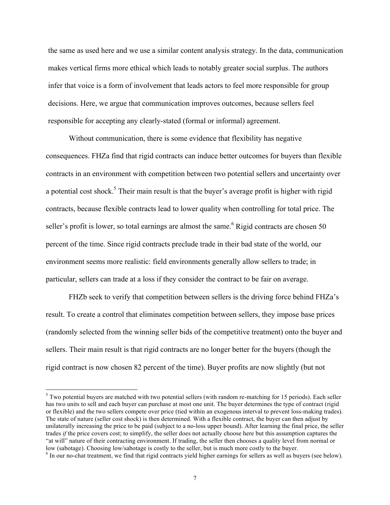the same as used here and we use a similar content analysis strategy. In the data, communication makes vertical firms more ethical which leads to notably greater social surplus. The authors infer that voice is a form of involvement that leads actors to feel more responsible for group decisions. Here, we argue that communication improves outcomes, because sellers feel responsible for accepting any clearly-stated (formal or informal) agreement.

Without communication, there is some evidence that flexibility has negative consequences. FHZa find that rigid contracts can induce better outcomes for buyers than flexible contracts in an environment with competition between two potential sellers and uncertainty over a potential cost shock.<sup>5</sup> Their main result is that the buyer's average profit is higher with rigid contracts, because flexible contracts lead to lower quality when controlling for total price. The seller's profit is lower, so total earnings are almost the same.<sup>6</sup> Rigid contracts are chosen 50 percent of the time. Since rigid contracts preclude trade in their bad state of the world, our environment seems more realistic: field environments generally allow sellers to trade; in particular, sellers can trade at a loss if they consider the contract to be fair on average.

FHZb seek to verify that competition between sellers is the driving force behind FHZa's result. To create a control that eliminates competition between sellers, they impose base prices (randomly selected from the winning seller bids of the competitive treatment) onto the buyer and sellers. Their main result is that rigid contracts are no longer better for the buyers (though the rigid contract is now chosen 82 percent of the time). Buyer profits are now slightly (but not

<sup>&</sup>lt;sup>5</sup> Two potential buyers are matched with two potential sellers (with random re-matching for 15 periods). Each seller has two units to sell and each buyer can purchase at most one unit. The buyer determines the type of contract (rigid or flexible) and the two sellers compete over price (tied within an exogenous interval to prevent loss-making trades). The state of nature (seller cost shock) is then determined. With a flexible contract, the buyer can then adjust by unilaterally increasing the price to be paid (subject to a no-loss upper bound). After learning the final price, the seller trades *if* the price covers cost; to simplify, the seller does not actually choose here but this assumption captures the "at will" nature of their contracting environment. If trading, the seller then chooses a quality level from normal or low (sabotage). Choosing low/sabotage is costly to the seller, but is much more costly to the buyer.

<sup>&</sup>lt;sup>6</sup> In our no-chat treatment, we find that rigid contracts yield higher earnings for sellers as well as buyers (see below).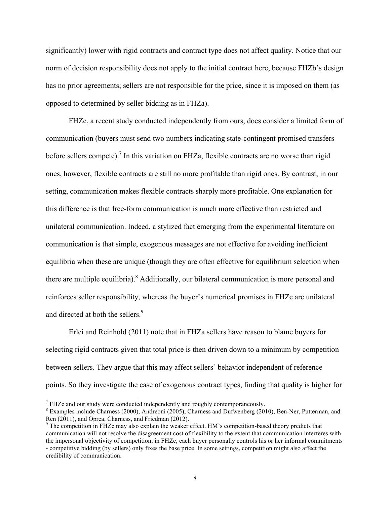significantly) lower with rigid contracts and contract type does not affect quality. Notice that our norm of decision responsibility does not apply to the initial contract here, because FHZb's design has no prior agreements; sellers are not responsible for the price, since it is imposed on them (as opposed to determined by seller bidding as in FHZa).

FHZc, a recent study conducted independently from ours, does consider a limited form of communication (buyers must send two numbers indicating state-contingent promised transfers before sellers compete).<sup>7</sup> In this variation on FHZa, flexible contracts are no worse than rigid ones, however, flexible contracts are still no more profitable than rigid ones. By contrast, in our setting, communication makes flexible contracts sharply more profitable. One explanation for this difference is that free-form communication is much more effective than restricted and unilateral communication. Indeed, a stylized fact emerging from the experimental literature on communication is that simple, exogenous messages are not effective for avoiding inefficient equilibria when these are unique (though they are often effective for equilibrium selection when there are multiple equilibria). <sup>8</sup> Additionally, our bilateral communication is more personal and reinforces seller responsibility, whereas the buyer's numerical promises in FHZc are unilateral and directed at both the sellers.<sup>9</sup>

Erlei and Reinhold (2011) note that in FHZa sellers have reason to blame buyers for selecting rigid contracts given that total price is then driven down to a minimum by competition between sellers. They argue that this may affect sellers' behavior independent of reference points. So they investigate the case of exogenous contract types, finding that quality is higher for

 $7$  FHZc and our study were conducted independently and roughly contemporaneously.

<sup>8</sup> Examples include Charness (2000), Andreoni (2005), Charness and Dufwenberg (2010), Ben-Ner, Putterman, and Ren (2011), and Oprea, Charness, and Friedman (2012).

<sup>&</sup>lt;sup>9</sup> The competition in FHZc may also explain the weaker effect. HM's competition-based theory predicts that communication will not resolve the disagreement cost of flexibility to the extent that communication interferes with the impersonal objectivity of competition; in FHZc, each buyer personally controls his or her informal commitments - competitive bidding (by sellers) only fixes the base price. In some settings, competition might also affect the credibility of communication.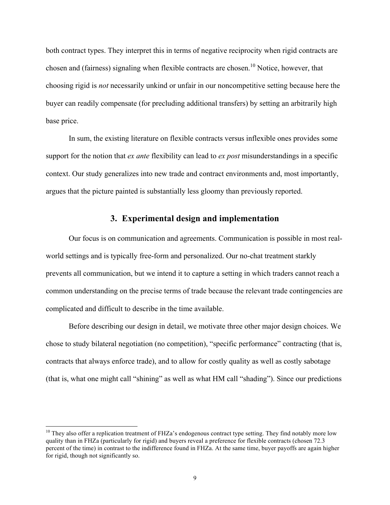both contract types. They interpret this in terms of negative reciprocity when rigid contracts are chosen and (fairness) signaling when flexible contracts are chosen.<sup>10</sup> Notice, however, that choosing rigid is *not* necessarily unkind or unfair in our noncompetitive setting because here the buyer can readily compensate (for precluding additional transfers) by setting an arbitrarily high base price.

In sum, the existing literature on flexible contracts versus inflexible ones provides some support for the notion that *ex ante* flexibility can lead to *ex post* misunderstandings in a specific context. Our study generalizes into new trade and contract environments and, most importantly, argues that the picture painted is substantially less gloomy than previously reported.

#### **3. Experimental design and implementation**

Our focus is on communication and agreements. Communication is possible in most realworld settings and is typically free-form and personalized. Our no-chat treatment starkly prevents all communication, but we intend it to capture a setting in which traders cannot reach a common understanding on the precise terms of trade because the relevant trade contingencies are complicated and difficult to describe in the time available.

Before describing our design in detail, we motivate three other major design choices. We chose to study bilateral negotiation (no competition), "specific performance" contracting (that is, contracts that always enforce trade), and to allow for costly quality as well as costly sabotage (that is, what one might call "shining" as well as what HM call "shading"). Since our predictions

<sup>&</sup>lt;sup>10</sup> They also offer a replication treatment of FHZa's endogenous contract type setting. They find notably more low quality than in FHZa (particularly for rigid) and buyers reveal a preference for flexible contracts (chosen 72.3 percent of the time) in contrast to the indifference found in FHZa. At the same time, buyer payoffs are again higher for rigid, though not significantly so.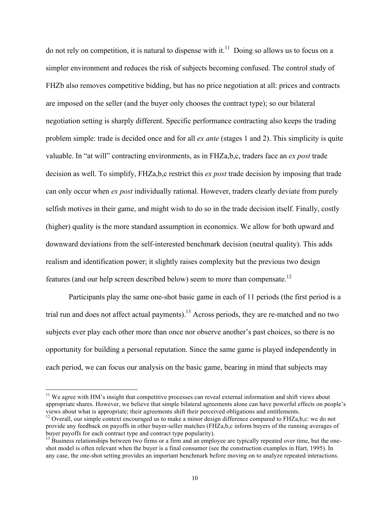do not rely on competition, it is natural to dispense with it.<sup>11</sup> Doing so allows us to focus on a simpler environment and reduces the risk of subjects becoming confused. The control study of FHZb also removes competitive bidding, but has no price negotiation at all: prices and contracts are imposed on the seller (and the buyer only chooses the contract type); so our bilateral negotiation setting is sharply different. Specific performance contracting also keeps the trading problem simple: trade is decided once and for all *ex ante* (stages 1 and 2). This simplicity is quite valuable. In "at will" contracting environments, as in FHZa,b,c, traders face an *ex post* trade decision as well. To simplify, FHZa,b,c restrict this *ex post* trade decision by imposing that trade can only occur when *ex post* individually rational. However, traders clearly deviate from purely selfish motives in their game, and might wish to do so in the trade decision itself. Finally, costly (higher) quality is the more standard assumption in economics. We allow for both upward and downward deviations from the self-interested benchmark decision (neutral quality). This adds realism and identification power; it slightly raises complexity but the previous two design features (and our help screen described below) seem to more than compensate.12

Participants play the same one-shot basic game in each of 11 periods (the first period is a trial run and does not affect actual payments).13 Across periods, they are re-matched and no two subjects ever play each other more than once nor observe another's past choices, so there is no opportunity for building a personal reputation. Since the same game is played independently in each period, we can focus our analysis on the basic game, bearing in mind that subjects may

<sup>&</sup>lt;sup>11</sup> We agree with HM's insight that competitive processes can reveal external information and shift views about appropriate shares. However, we believe that simple bilateral agreements alone can have powerful effects on people's views about what is appropriate; their agreements shift their perceived obligations and entitlements.

<sup>&</sup>lt;sup>12</sup> Overall, our simple context encouraged us to make a minor design difference compared to FHZa,b,c: we do not provide any feedback on payoffs in other buyer-seller matches (FHZa,b,c inform buyers of the running averages of buyer payoffs for each contract type and contract type popularity).<br><sup>13</sup> Business relationships between two firms or a firm and an employee are typically repeated over time, but the one-

shot model is often relevant when the buyer is a final consumer (see the construction examples in Hart, 1995). In any case, the one-shot setting provides an important benchmark before moving on to analyze repeated interactions.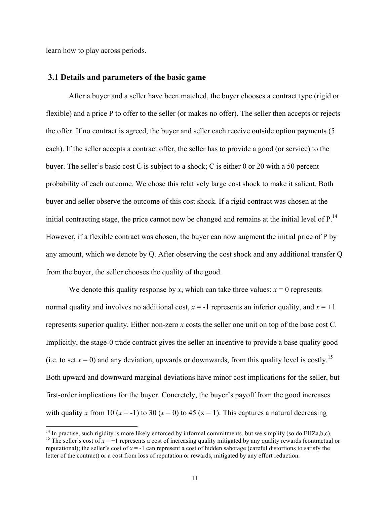learn how to play across periods.

#### **3.1 Details and parameters of the basic game**

After a buyer and a seller have been matched, the buyer chooses a contract type (rigid or flexible) and a price P to offer to the seller (or makes no offer). The seller then accepts or rejects the offer. If no contract is agreed, the buyer and seller each receive outside option payments (5 each). If the seller accepts a contract offer, the seller has to provide a good (or service) to the buyer. The seller's basic cost C is subject to a shock; C is either 0 or 20 with a 50 percent probability of each outcome. We chose this relatively large cost shock to make it salient. Both buyer and seller observe the outcome of this cost shock. If a rigid contract was chosen at the initial contracting stage, the price cannot now be changed and remains at the initial level of  $P<sup>14</sup>$ . However, if a flexible contract was chosen, the buyer can now augment the initial price of P by any amount, which we denote by Q. After observing the cost shock and any additional transfer Q from the buyer, the seller chooses the quality of the good.

We denote this quality response by *x*, which can take three values:  $x = 0$  represents normal quality and involves no additional cost,  $x = -1$  represents an inferior quality, and  $x = +1$ represents superior quality. Either non-zero *x* costs the seller one unit on top of the base cost C. Implicitly, the stage-0 trade contract gives the seller an incentive to provide a base quality good (i.e. to set  $x = 0$ ) and any deviation, upwards or downwards, from this quality level is costly.<sup>15</sup> Both upward and downward marginal deviations have minor cost implications for the seller, but first-order implications for the buyer. Concretely, the buyer's payoff from the good increases with quality *x* from 10 ( $x = -1$ ) to 30 ( $x = 0$ ) to 45 ( $x = 1$ ). This captures a natural decreasing

<sup>&</sup>lt;sup>14</sup> In practise, such rigidity is more likely enforced by informal commitments, but we simplify (so do FHZa,b,c).<br><sup>15</sup> The seller's cost of  $x = +1$  represents a cost of increasing quality mitigated by any quality rewards reputational); the seller's cost of  $x = -1$  can represent a cost of hidden sabotage (careful distortions to satisfy the letter of the contract) or a cost from loss of reputation or rewards, mitigated by any effort reduction.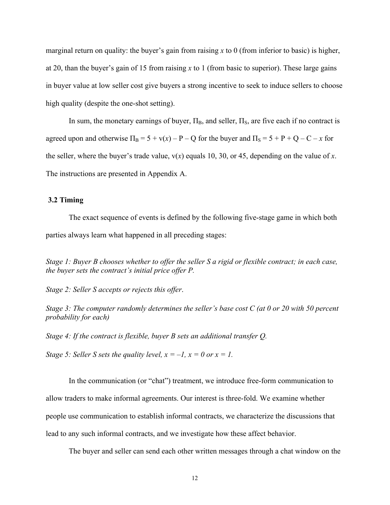marginal return on quality: the buyer's gain from raising *x* to 0 (from inferior to basic) is higher, at 20, than the buyer's gain of 15 from raising *x* to 1 (from basic to superior). These large gains in buyer value at low seller cost give buyers a strong incentive to seek to induce sellers to choose high quality (despite the one-shot setting).

In sum, the monetary earnings of buyer,  $\Pi_B$ , and seller,  $\Pi_S$ , are five each if no contract is agreed upon and otherwise  $\Pi_B = 5 + v(x) - P - Q$  for the buyer and  $\Pi_S = 5 + P + Q - C - x$  for the seller, where the buyer's trade value, v(*x*) equals 10, 30, or 45, depending on the value of *x*. The instructions are presented in Appendix A.

#### **3.2 Timing**

The exact sequence of events is defined by the following five-stage game in which both parties always learn what happened in all preceding stages:

*Stage 1: Buyer B chooses whether to offer the seller S a rigid or flexible contract; in each case, the buyer sets the contract's initial price offer P.* 

*Stage 2: Seller S accepts or rejects this offer*.

*Stage 3: The computer randomly determines the seller's base cost C (at 0 or 20 with 50 percent probability for each)* 

*Stage 4: If the contract is flexible, buyer B sets an additional transfer Q.* 

*Stage 5: Seller S sets the quality level,*  $x = -1$ ,  $x = 0$  or  $x = 1$ .

In the communication (or "chat") treatment, we introduce free-form communication to allow traders to make informal agreements. Our interest is three-fold. We examine whether people use communication to establish informal contracts, we characterize the discussions that lead to any such informal contracts, and we investigate how these affect behavior.

The buyer and seller can send each other written messages through a chat window on the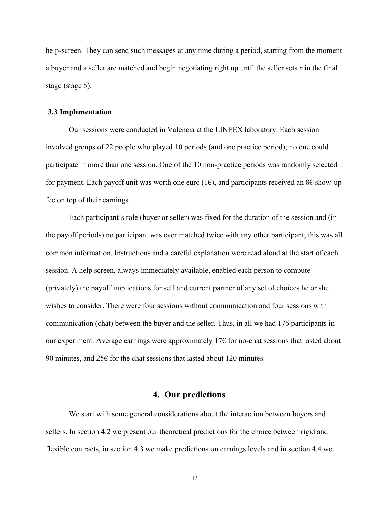help-screen. They can send such messages at any time during a period, starting from the moment a buyer and a seller are matched and begin negotiating right up until the seller sets *x* in the final stage (stage 5).

#### **3.3 Implementation**

Our sessions were conducted in Valencia at the LINEEX laboratory. Each session involved groups of 22 people who played 10 periods (and one practice period); no one could participate in more than one session. One of the 10 non-practice periods was randomly selected for payment. Each payoff unit was worth one euro (1 $\epsilon$ ), and participants received an 8 $\epsilon$  show-up fee on top of their earnings.

Each participant's role (buyer or seller) was fixed for the duration of the session and (in the payoff periods) no participant was ever matched twice with any other participant; this was all common information. Instructions and a careful explanation were read aloud at the start of each session. A help screen, always immediately available, enabled each person to compute (privately) the payoff implications for self and current partner of any set of choices he or she wishes to consider. There were four sessions without communication and four sessions with communication (chat) between the buyer and the seller. Thus, in all we had 176 participants in our experiment. Average earnings were approximately 17 $\epsilon$  for no-chat sessions that lasted about 90 minutes, and  $25\epsilon$  for the chat sessions that lasted about 120 minutes.

#### **4. Our predictions**

We start with some general considerations about the interaction between buyers and sellers. In section 4.2 we present our theoretical predictions for the choice between rigid and flexible contracts, in section 4.3 we make predictions on earnings levels and in section 4.4 we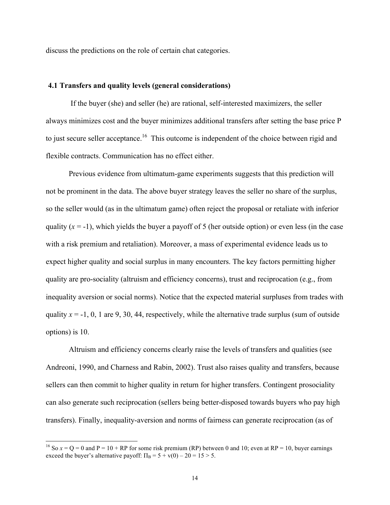discuss the predictions on the role of certain chat categories.

#### **4.1 Transfers and quality levels (general considerations)**

If the buyer (she) and seller (he) are rational, self-interested maximizers, the seller always minimizes cost and the buyer minimizes additional transfers after setting the base price P to just secure seller acceptance.<sup>16</sup> This outcome is independent of the choice between rigid and flexible contracts. Communication has no effect either.

Previous evidence from ultimatum-game experiments suggests that this prediction will not be prominent in the data. The above buyer strategy leaves the seller no share of the surplus, so the seller would (as in the ultimatum game) often reject the proposal or retaliate with inferior quality  $(x = -1)$ , which yields the buyer a payoff of 5 (her outside option) or even less (in the case with a risk premium and retaliation). Moreover, a mass of experimental evidence leads us to expect higher quality and social surplus in many encounters. The key factors permitting higher quality are pro-sociality (altruism and efficiency concerns), trust and reciprocation (e.g., from inequality aversion or social norms). Notice that the expected material surpluses from trades with quality  $x = -1$ , 0, 1 are 9, 30, 44, respectively, while the alternative trade surplus (sum of outside options) is 10.

Altruism and efficiency concerns clearly raise the levels of transfers and qualities (see Andreoni, 1990, and Charness and Rabin, 2002). Trust also raises quality and transfers, because sellers can then commit to higher quality in return for higher transfers. Contingent prosociality can also generate such reciprocation (sellers being better-disposed towards buyers who pay high transfers). Finally, inequality-aversion and norms of fairness can generate reciprocation (as of

<sup>&</sup>lt;sup>16</sup> So  $x = Q = 0$  and P = 10 + RP for some risk premium (RP) between 0 and 10; even at RP = 10, buyer earnings exceed the buyer's alternative payoff:  $\Pi_B = 5 + v(0) - 20 = 15 > 5$ .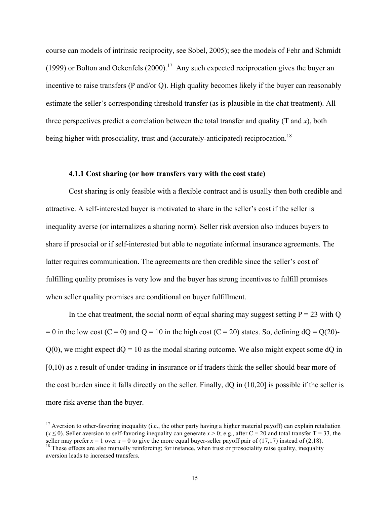course can models of intrinsic reciprocity, see Sobel, 2005); see the models of Fehr and Schmidt (1999) or Bolton and Ockenfels  $(2000).<sup>17</sup>$  Any such expected reciprocation gives the buyer an incentive to raise transfers (P and/or Q). High quality becomes likely if the buyer can reasonably estimate the seller's corresponding threshold transfer (as is plausible in the chat treatment). All three perspectives predict a correlation between the total transfer and quality  $(T \text{ and } x)$ , both being higher with prosociality, trust and (accurately-anticipated) reciprocation.<sup>18</sup>

#### **4.1.1 Cost sharing (or how transfers vary with the cost state)**

Cost sharing is only feasible with a flexible contract and is usually then both credible and attractive. A self-interested buyer is motivated to share in the seller's cost if the seller is inequality averse (or internalizes a sharing norm). Seller risk aversion also induces buyers to share if prosocial or if self-interested but able to negotiate informal insurance agreements. The latter requires communication. The agreements are then credible since the seller's cost of fulfilling quality promises is very low and the buyer has strong incentives to fulfill promises when seller quality promises are conditional on buyer fulfillment.

In the chat treatment, the social norm of equal sharing may suggest setting  $P = 23$  with Q  $= 0$  in the low cost (C = 0) and Q = 10 in the high cost (C = 20) states. So, defining  $dQ = Q(20)$ - $Q(0)$ , we might expect  $dQ = 10$  as the modal sharing outcome. We also might expect some  $dQ$  in [0,10) as a result of under-trading in insurance or if traders think the seller should bear more of the cost burden since it falls directly on the seller. Finally, dQ in (10,20] is possible if the seller is more risk averse than the buyer.

<sup>&</sup>lt;sup>17</sup> Aversion to other-favoring inequality (i.e., the other party having a higher material payoff) can explain retaliation  $(x \le 0)$ . Seller aversion to self-favoring inequality can generate  $x > 0$ ; e.g., after C = 20 and total transfer T = 33, the seller may prefer  $x = 1$  over  $x = 0$  to give the more equal buyer-seller payoff pair of (17,17)

 $^{18}$  These effects are also mutually reinforcing; for instance, when trust or prosociality raise quality, inequality aversion leads to increased transfers.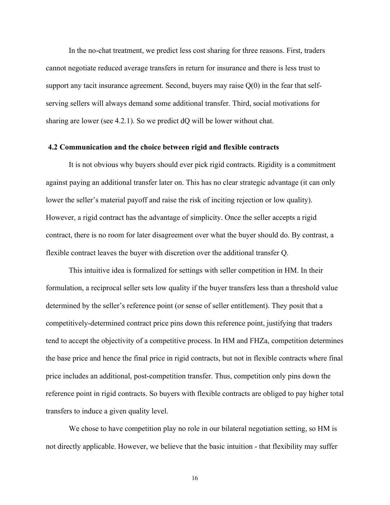In the no-chat treatment, we predict less cost sharing for three reasons. First, traders cannot negotiate reduced average transfers in return for insurance and there is less trust to support any tacit insurance agreement. Second, buyers may raise  $Q(0)$  in the fear that selfserving sellers will always demand some additional transfer. Third, social motivations for sharing are lower (see 4.2.1). So we predict dQ will be lower without chat.

#### **4.2 Communication and the choice between rigid and flexible contracts**

It is not obvious why buyers should ever pick rigid contracts. Rigidity is a commitment against paying an additional transfer later on. This has no clear strategic advantage (it can only lower the seller's material payoff and raise the risk of inciting rejection or low quality). However, a rigid contract has the advantage of simplicity. Once the seller accepts a rigid contract, there is no room for later disagreement over what the buyer should do. By contrast, a flexible contract leaves the buyer with discretion over the additional transfer Q.

This intuitive idea is formalized for settings with seller competition in HM. In their formulation, a reciprocal seller sets low quality if the buyer transfers less than a threshold value determined by the seller's reference point (or sense of seller entitlement). They posit that a competitively-determined contract price pins down this reference point, justifying that traders tend to accept the objectivity of a competitive process. In HM and FHZa, competition determines the base price and hence the final price in rigid contracts, but not in flexible contracts where final price includes an additional, post-competition transfer. Thus, competition only pins down the reference point in rigid contracts. So buyers with flexible contracts are obliged to pay higher total transfers to induce a given quality level.

We chose to have competition play no role in our bilateral negotiation setting, so HM is not directly applicable. However, we believe that the basic intuition - that flexibility may suffer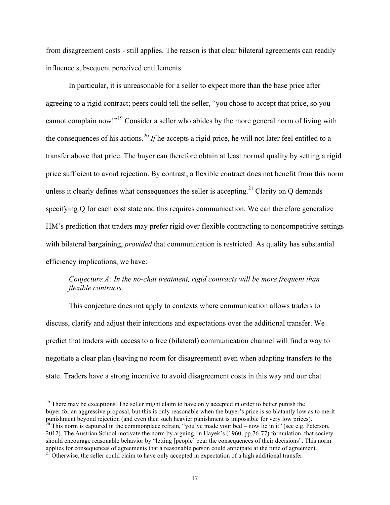from disagreement costs - still applies. The reason is that clear bilateral agreements can readily influence subsequent perceived entitlements.

In particular, it is unreasonable for a seller to expect more than the base price after agreeing to a rigid contract; peers could tell the seller, "you chose to accept that price, so you cannot complain now!"19 Consider a seller who abides by the more general norm of living with the consequences of his actions.20 *If* he accepts a rigid price, he will not later feel entitled to a transfer above that price. The buyer can therefore obtain at least normal quality by setting a rigid price sufficient to avoid rejection. By contrast, a flexible contract does not benefit from this norm unless it clearly defines what consequences the seller is accepting.<sup>21</sup> Clarity on  $Q$  demands specifying Q for each cost state and this requires communication. We can therefore generalize HM's prediction that traders may prefer rigid over flexible contracting to noncompetitive settings with bilateral bargaining, *provided* that communication is restricted. As quality has substantial efficiency implications, we have:

#### *Conjecture A: In the no-chat treatment, rigid contracts will be more frequent than flexible contracts.*

This conjecture does not apply to contexts where communication allows traders to discuss, clarify and adjust their intentions and expectations over the additional transfer. We predict that traders with access to a free (bilateral) communication channel will find a way to negotiate a clear plan (leaving no room for disagreement) even when adapting transfers to the state. Traders have a strong incentive to avoid disagreement costs in this way and our chat

<sup>&</sup>lt;sup>19</sup> There may be exceptions. The seller might claim to have only accepted in order to better punish the buyer for an aggressive proposal, but this is only reasonable when the buyer's price is so blatantly low as to merit punishment beyond rejection (and even then such heavier punishment is impossible for very low prices). <sup>20</sup> This norm is captured in the commonplace refrain, "you've made your bed – now lie in it" (see e.g. Peterson, 2012). The Austrian School motivate the norm by arguing, in Hayek's (1960, pp.76-77) formulation, that society should encourage reasonable behavior by "letting [people] bear the consequences of their decisions". This norm applies for consequences of agreements that a reasonable person could anticipate at the time of agreement.

<sup>&</sup>lt;sup>21</sup> Otherwise, the seller could claim to have only accepted in expectation of a high additional transfer.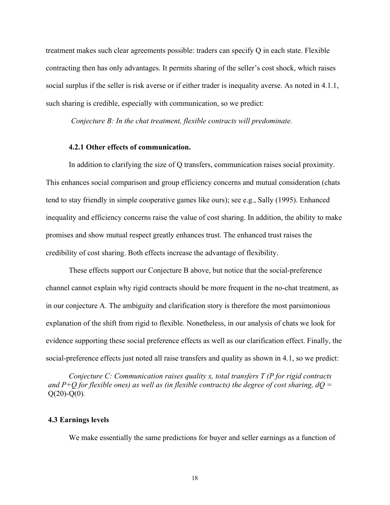treatment makes such clear agreements possible: traders can specify Q in each state. Flexible contracting then has only advantages. It permits sharing of the seller's cost shock, which raises social surplus if the seller is risk averse or if either trader is inequality averse. As noted in 4.1.1, such sharing is credible, especially with communication, so we predict:

*Conjecture B: In the chat treatment, flexible contracts will predominate.* 

#### **4.2.1 Other effects of communication.**

In addition to clarifying the size of Q transfers, communication raises social proximity. This enhances social comparison and group efficiency concerns and mutual consideration (chats tend to stay friendly in simple cooperative games like ours); see e.g., Sally (1995). Enhanced inequality and efficiency concerns raise the value of cost sharing. In addition, the ability to make promises and show mutual respect greatly enhances trust. The enhanced trust raises the credibility of cost sharing. Both effects increase the advantage of flexibility.

These effects support our Conjecture B above, but notice that the social-preference channel cannot explain why rigid contracts should be more frequent in the no-chat treatment, as in our conjecture A. The ambiguity and clarification story is therefore the most parsimonious explanation of the shift from rigid to flexible. Nonetheless, in our analysis of chats we look for evidence supporting these social preference effects as well as our clarification effect. Finally, the social-preference effects just noted all raise transfers and quality as shown in 4.1, so we predict:

*Conjecture C: Communication raises quality x, total transfers T (P for rigid contracts and P+Q for flexible ones) as well as (in flexible contracts) the degree of cost sharing, dQ =* Q(20)-Q(0)*.*

#### **4.3 Earnings levels**

We make essentially the same predictions for buyer and seller earnings as a function of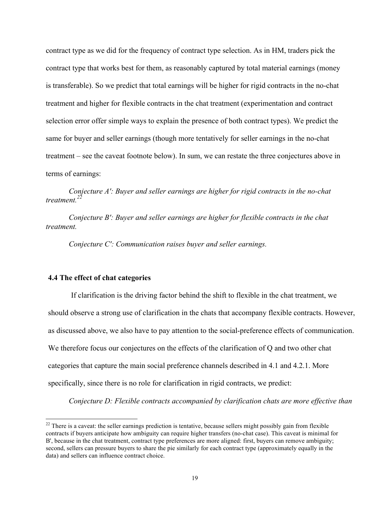contract type as we did for the frequency of contract type selection. As in HM, traders pick the contract type that works best for them, as reasonably captured by total material earnings (money is transferable). So we predict that total earnings will be higher for rigid contracts in the no-chat treatment and higher for flexible contracts in the chat treatment (experimentation and contract selection error offer simple ways to explain the presence of both contract types). We predict the same for buyer and seller earnings (though more tentatively for seller earnings in the no-chat treatment – see the caveat footnote below). In sum, we can restate the three conjectures above in terms of earnings:

*Conjecture A': Buyer and seller earnings are higher for rigid contracts in the no-chat treatment.22*

*Conjecture B': Buyer and seller earnings are higher for flexible contracts in the chat treatment.*

*Conjecture C': Communication raises buyer and seller earnings.*

#### **4.4 The effect of chat categories**

If clarification is the driving factor behind the shift to flexible in the chat treatment, we should observe a strong use of clarification in the chats that accompany flexible contracts. However, as discussed above, we also have to pay attention to the social-preference effects of communication. We therefore focus our conjectures on the effects of the clarification of Q and two other chat categories that capture the main social preference channels described in 4.1 and 4.2.1. More specifically, since there is no role for clarification in rigid contracts, we predict:

*Conjecture D: Flexible contracts accompanied by clarification chats are more effective than* 

<sup>&</sup>lt;sup>22</sup> There is a caveat: the seller earnings prediction is tentative, because sellers might possibly gain from flexible contracts if buyers anticipate how ambiguity can require higher transfers (no-chat case). This caveat is minimal for B', because in the chat treatment, contract type preferences are more aligned: first, buyers can remove ambiguity; second, sellers can pressure buyers to share the pie similarly for each contract type (approximately equally in the data) and sellers can influence contract choice.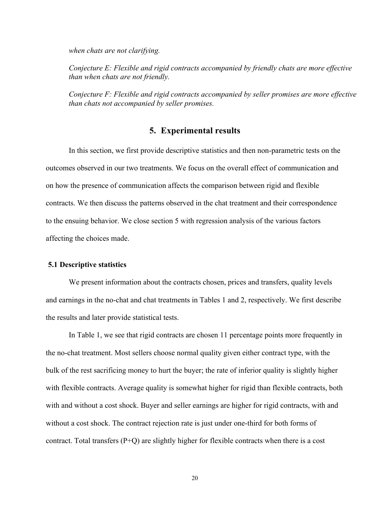*when chats are not clarifying.*

*Conjecture E: Flexible and rigid contracts accompanied by friendly chats are more effective than when chats are not friendly.*

*Conjecture F: Flexible and rigid contracts accompanied by seller promises are more effective than chats not accompanied by seller promises.*

#### **5. Experimental results**

In this section, we first provide descriptive statistics and then non-parametric tests on the outcomes observed in our two treatments. We focus on the overall effect of communication and on how the presence of communication affects the comparison between rigid and flexible contracts. We then discuss the patterns observed in the chat treatment and their correspondence to the ensuing behavior. We close section 5 with regression analysis of the various factors affecting the choices made.

#### **5.1 Descriptive statistics**

We present information about the contracts chosen, prices and transfers, quality levels and earnings in the no-chat and chat treatments in Tables 1 and 2, respectively. We first describe the results and later provide statistical tests.

In Table 1, we see that rigid contracts are chosen 11 percentage points more frequently in the no-chat treatment. Most sellers choose normal quality given either contract type, with the bulk of the rest sacrificing money to hurt the buyer; the rate of inferior quality is slightly higher with flexible contracts. Average quality is somewhat higher for rigid than flexible contracts, both with and without a cost shock. Buyer and seller earnings are higher for rigid contracts, with and without a cost shock. The contract rejection rate is just under one-third for both forms of contract. Total transfers (P+Q) are slightly higher for flexible contracts when there is a cost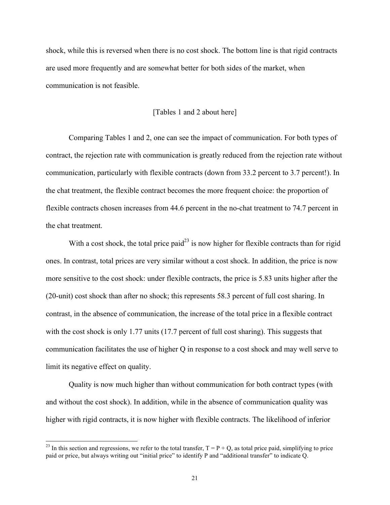shock, while this is reversed when there is no cost shock. The bottom line is that rigid contracts are used more frequently and are somewhat better for both sides of the market, when communication is not feasible.

#### [Tables 1 and 2 about here]

Comparing Tables 1 and 2, one can see the impact of communication. For both types of contract, the rejection rate with communication is greatly reduced from the rejection rate without communication, particularly with flexible contracts (down from 33.2 percent to 3.7 percent!). In the chat treatment, the flexible contract becomes the more frequent choice: the proportion of flexible contracts chosen increases from 44.6 percent in the no-chat treatment to 74.7 percent in the chat treatment.

With a cost shock, the total price paid<sup>23</sup> is now higher for flexible contracts than for rigid ones. In contrast, total prices are very similar without a cost shock. In addition, the price is now more sensitive to the cost shock: under flexible contracts, the price is 5.83 units higher after the (20-unit) cost shock than after no shock; this represents 58.3 percent of full cost sharing. In contrast, in the absence of communication, the increase of the total price in a flexible contract with the cost shock is only 1.77 units (17.7 percent of full cost sharing). This suggests that communication facilitates the use of higher Q in response to a cost shock and may well serve to limit its negative effect on quality.

Quality is now much higher than without communication for both contract types (with and without the cost shock). In addition, while in the absence of communication quality was higher with rigid contracts, it is now higher with flexible contracts. The likelihood of inferior

<sup>&</sup>lt;sup>23</sup> In this section and regressions, we refer to the total transfer,  $T = P + Q$ , as total price paid, simplifying to price paid or price, but always writing out "initial price" to identify P and "additional transfer" to indicate Q.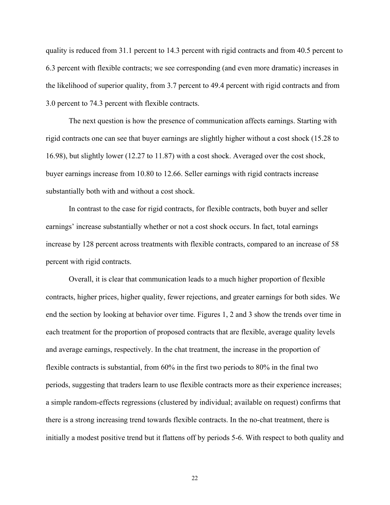quality is reduced from 31.1 percent to 14.3 percent with rigid contracts and from 40.5 percent to 6.3 percent with flexible contracts; we see corresponding (and even more dramatic) increases in the likelihood of superior quality, from 3.7 percent to 49.4 percent with rigid contracts and from 3.0 percent to 74.3 percent with flexible contracts.

The next question is how the presence of communication affects earnings. Starting with rigid contracts one can see that buyer earnings are slightly higher without a cost shock (15.28 to 16.98), but slightly lower (12.27 to 11.87) with a cost shock. Averaged over the cost shock, buyer earnings increase from 10.80 to 12.66. Seller earnings with rigid contracts increase substantially both with and without a cost shock.

In contrast to the case for rigid contracts, for flexible contracts, both buyer and seller earnings' increase substantially whether or not a cost shock occurs. In fact, total earnings increase by 128 percent across treatments with flexible contracts, compared to an increase of 58 percent with rigid contracts.

Overall, it is clear that communication leads to a much higher proportion of flexible contracts, higher prices, higher quality, fewer rejections, and greater earnings for both sides. We end the section by looking at behavior over time. Figures 1, 2 and 3 show the trends over time in each treatment for the proportion of proposed contracts that are flexible, average quality levels and average earnings, respectively. In the chat treatment, the increase in the proportion of flexible contracts is substantial, from 60% in the first two periods to 80% in the final two periods, suggesting that traders learn to use flexible contracts more as their experience increases; a simple random-effects regressions (clustered by individual; available on request) confirms that there is a strong increasing trend towards flexible contracts. In the no-chat treatment, there is initially a modest positive trend but it flattens off by periods 5-6. With respect to both quality and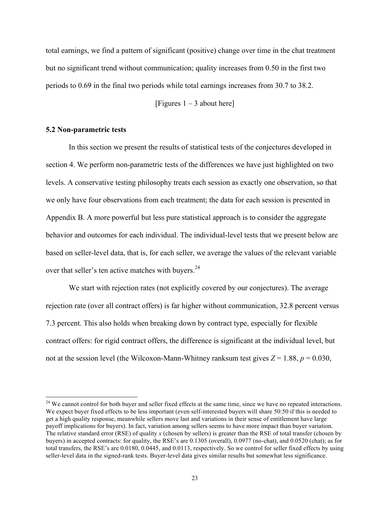total earnings, we find a pattern of significant (positive) change over time in the chat treatment but no significant trend without communication; quality increases from 0.50 in the first two periods to 0.69 in the final two periods while total earnings increases from 30.7 to 38.2.

[Figures  $1 - 3$  about here]

#### **5.2 Non-parametric tests**

In this section we present the results of statistical tests of the conjectures developed in section 4. We perform non-parametric tests of the differences we have just highlighted on two levels. A conservative testing philosophy treats each session as exactly one observation, so that we only have four observations from each treatment; the data for each session is presented in Appendix B. A more powerful but less pure statistical approach is to consider the aggregate behavior and outcomes for each individual. The individual-level tests that we present below are based on seller-level data, that is, for each seller, we average the values of the relevant variable over that seller's ten active matches with buyers.<sup>24</sup>

We start with rejection rates (not explicitly covered by our conjectures). The average rejection rate (over all contract offers) is far higher without communication, 32.8 percent versus 7.3 percent. This also holds when breaking down by contract type, especially for flexible contract offers: for rigid contract offers, the difference is significant at the individual level, but not at the session level (the Wilcoxon-Mann-Whitney ranksum test gives  $Z = 1.88$ ,  $p = 0.030$ ,

<sup>&</sup>lt;sup>24</sup> We cannot control for both buyer and seller fixed effects at the same time, since we have no repeated interactions. We expect buyer fixed effects to be less important (even self-interested buyers will share 50:50 if this is needed to get a high quality response, meanwhile sellers move last and variations in their sense of entitlement have large payoff implications for buyers). In fact, variation among sellers seems to have more impact than buyer variation. The relative standard error (RSE) of quality *x* (chosen by sellers) is greater than the RSE of total transfer (chosen by buyers) in accepted contracts: for quality, the RSE's are 0.1305 (overall), 0.0977 (no-chat), and 0.0520 (chat); as for total transfers, the RSE's are 0.0180, 0.0445, and 0.0113, respectively. So we control for seller fixed effects by using seller-level data in the signed-rank tests. Buyer-level data gives similar results but somewhat less significance.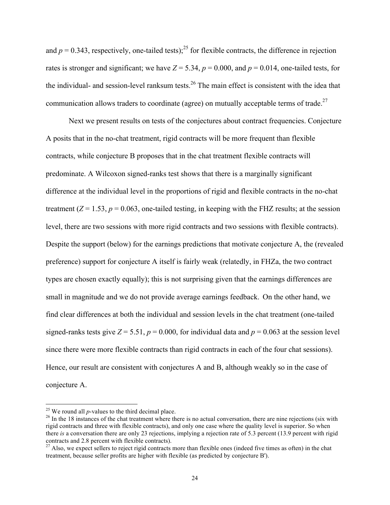and  $p = 0.343$ , respectively, one-tailed tests);<sup>25</sup> for flexible contracts, the difference in rejection rates is stronger and significant; we have  $Z = 5.34$ ,  $p = 0.000$ , and  $p = 0.014$ , one-tailed tests, for the individual- and session-level ranksum tests.<sup>26</sup> The main effect is consistent with the idea that communication allows traders to coordinate (agree) on mutually acceptable terms of trade.<sup>27</sup>

Next we present results on tests of the conjectures about contract frequencies. Conjecture A posits that in the no-chat treatment, rigid contracts will be more frequent than flexible contracts, while conjecture B proposes that in the chat treatment flexible contracts will predominate. A Wilcoxon signed-ranks test shows that there is a marginally significant difference at the individual level in the proportions of rigid and flexible contracts in the no-chat treatment  $(Z = 1.53, p = 0.063,$  one-tailed testing, in keeping with the FHZ results; at the session level, there are two sessions with more rigid contracts and two sessions with flexible contracts). Despite the support (below) for the earnings predictions that motivate conjecture A, the (revealed preference) support for conjecture A itself is fairly weak (relatedly, in FHZa, the two contract types are chosen exactly equally); this is not surprising given that the earnings differences are small in magnitude and we do not provide average earnings feedback. On the other hand, we find clear differences at both the individual and session levels in the chat treatment (one-tailed signed-ranks tests give  $Z = 5.51$ ,  $p = 0.000$ , for individual data and  $p = 0.063$  at the session level since there were more flexible contracts than rigid contracts in each of the four chat sessions). Hence, our result are consistent with conjectures A and B, although weakly so in the case of conjecture A.

<sup>&</sup>lt;sup>25</sup> We round all *p*-values to the third decimal place.<br><sup>26</sup> In the 18 instances of the chat treatment where there is no actual conversation, there are nine rejections (six with rigid contracts and three with flexible contracts), and only one case where the quality level is superior. So when there *is* a conversation there are only 23 rejections, implying a rejection rate of 5.3 percent (13.9 percent with rigid contracts and 2.8 percent with flexible contracts).

 $^{27}$  Also, we expect sellers to reject rigid contracts more than flexible ones (indeed five times as often) in the chat treatment, because seller profits are higher with flexible (as predicted by conjecture B').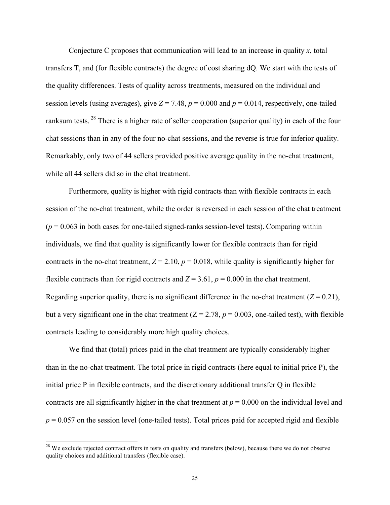Conjecture C proposes that communication will lead to an increase in quality *x*, total transfers T, and (for flexible contracts) the degree of cost sharing dQ. We start with the tests of the quality differences. Tests of quality across treatments, measured on the individual and session levels (using averages), give  $Z = 7.48$ ,  $p = 0.000$  and  $p = 0.014$ , respectively, one-tailed ranksum tests.<sup>28</sup> There is a higher rate of seller cooperation (superior quality) in each of the four chat sessions than in any of the four no-chat sessions, and the reverse is true for inferior quality. Remarkably, only two of 44 sellers provided positive average quality in the no-chat treatment, while all 44 sellers did so in the chat treatment.

Furthermore, quality is higher with rigid contracts than with flexible contracts in each session of the no-chat treatment, while the order is reversed in each session of the chat treatment  $(p = 0.063$  in both cases for one-tailed signed-ranks session-level tests). Comparing within individuals, we find that quality is significantly lower for flexible contracts than for rigid contracts in the no-chat treatment,  $Z = 2.10$ ,  $p = 0.018$ , while quality is significantly higher for flexible contracts than for rigid contracts and  $Z = 3.61$ ,  $p = 0.000$  in the chat treatment. Regarding superior quality, there is no significant difference in the no-chat treatment  $(Z = 0.21)$ , but a very significant one in the chat treatment  $(Z = 2.78, p = 0.003,$  one-tailed test), with flexible contracts leading to considerably more high quality choices.

We find that (total) prices paid in the chat treatment are typically considerably higher than in the no-chat treatment. The total price in rigid contracts (here equal to initial price P), the initial price P in flexible contracts, and the discretionary additional transfer Q in flexible contracts are all significantly higher in the chat treatment at  $p = 0.000$  on the individual level and  $p = 0.057$  on the session level (one-tailed tests). Total prices paid for accepted rigid and flexible

<sup>&</sup>lt;sup>28</sup> We exclude rejected contract offers in tests on quality and transfers (below), because there we do not observe quality choices and additional transfers (flexible case).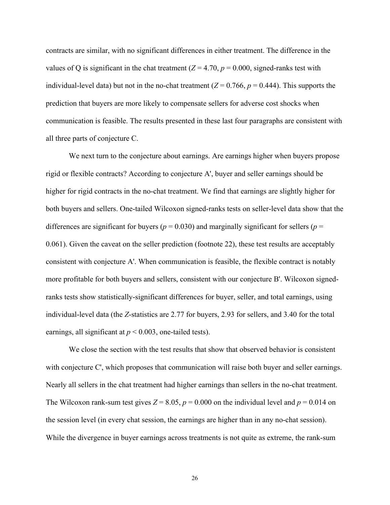contracts are similar, with no significant differences in either treatment. The difference in the values of Q is significant in the chat treatment  $(Z = 4.70, p = 0.000,$  signed-ranks test with individual-level data) but not in the no-chat treatment ( $Z = 0.766$ ,  $p = 0.444$ ). This supports the prediction that buyers are more likely to compensate sellers for adverse cost shocks when communication is feasible. The results presented in these last four paragraphs are consistent with all three parts of conjecture C.

We next turn to the conjecture about earnings. Are earnings higher when buyers propose rigid or flexible contracts? According to conjecture A', buyer and seller earnings should be higher for rigid contracts in the no-chat treatment. We find that earnings are slightly higher for both buyers and sellers. One-tailed Wilcoxon signed-ranks tests on seller-level data show that the differences are significant for buyers ( $p = 0.030$ ) and marginally significant for sellers ( $p =$ 0.061). Given the caveat on the seller prediction (footnote 22), these test results are acceptably consistent with conjecture A'. When communication is feasible, the flexible contract is notably more profitable for both buyers and sellers, consistent with our conjecture B'. Wilcoxon signedranks tests show statistically-significant differences for buyer, seller, and total earnings, using individual-level data (the *Z*-statistics are 2.77 for buyers, 2.93 for sellers, and 3.40 for the total earnings, all significant at  $p < 0.003$ , one-tailed tests).

We close the section with the test results that show that observed behavior is consistent with conjecture C', which proposes that communication will raise both buyer and seller earnings. Nearly all sellers in the chat treatment had higher earnings than sellers in the no-chat treatment. The Wilcoxon rank-sum test gives  $Z = 8.05$ ,  $p = 0.000$  on the individual level and  $p = 0.014$  on the session level (in every chat session, the earnings are higher than in any no-chat session). While the divergence in buyer earnings across treatments is not quite as extreme, the rank-sum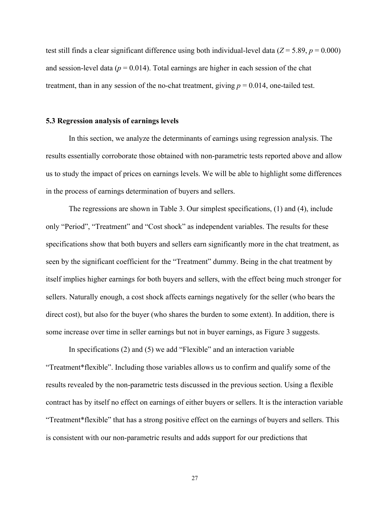test still finds a clear significant difference using both individual-level data ( $Z = 5.89$ ,  $p = 0.000$ ) and session-level data ( $p = 0.014$ ). Total earnings are higher in each session of the chat treatment, than in any session of the no-chat treatment, giving  $p = 0.014$ , one-tailed test.

#### **5.3 Regression analysis of earnings levels**

In this section, we analyze the determinants of earnings using regression analysis. The results essentially corroborate those obtained with non-parametric tests reported above and allow us to study the impact of prices on earnings levels. We will be able to highlight some differences in the process of earnings determination of buyers and sellers.

The regressions are shown in Table 3. Our simplest specifications, (1) and (4), include only "Period", "Treatment" and "Cost shock" as independent variables. The results for these specifications show that both buyers and sellers earn significantly more in the chat treatment, as seen by the significant coefficient for the "Treatment" dummy. Being in the chat treatment by itself implies higher earnings for both buyers and sellers, with the effect being much stronger for sellers. Naturally enough, a cost shock affects earnings negatively for the seller (who bears the direct cost), but also for the buyer (who shares the burden to some extent). In addition, there is some increase over time in seller earnings but not in buyer earnings, as Figure 3 suggests.

In specifications (2) and (5) we add "Flexible" and an interaction variable "Treatment\*flexible". Including those variables allows us to confirm and qualify some of the results revealed by the non-parametric tests discussed in the previous section. Using a flexible contract has by itself no effect on earnings of either buyers or sellers. It is the interaction variable "Treatment\*flexible" that has a strong positive effect on the earnings of buyers and sellers. This is consistent with our non-parametric results and adds support for our predictions that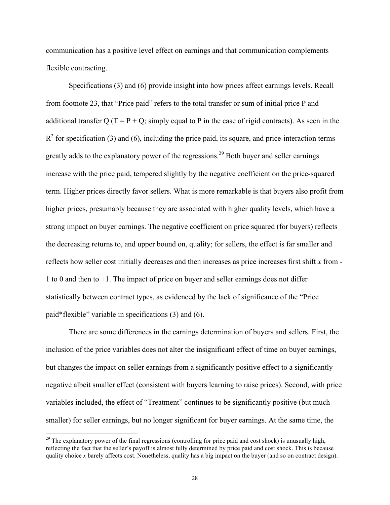communication has a positive level effect on earnings and that communication complements flexible contracting.

Specifications (3) and (6) provide insight into how prices affect earnings levels. Recall from footnote 23, that "Price paid" refers to the total transfer or sum of initial price P and additional transfer Q (T = P + Q; simply equal to P in the case of rigid contracts). As seen in the  $R^2$  for specification (3) and (6), including the price paid, its square, and price-interaction terms greatly adds to the explanatory power of the regressions.<sup>29</sup> Both buyer and seller earnings increase with the price paid, tempered slightly by the negative coefficient on the price-squared term. Higher prices directly favor sellers. What is more remarkable is that buyers also profit from higher prices, presumably because they are associated with higher quality levels, which have a strong impact on buyer earnings. The negative coefficient on price squared (for buyers) reflects the decreasing returns to, and upper bound on, quality; for sellers, the effect is far smaller and reflects how seller cost initially decreases and then increases as price increases first shift *x* from - 1 to 0 and then to +1. The impact of price on buyer and seller earnings does not differ statistically between contract types, as evidenced by the lack of significance of the "Price paid\*flexible" variable in specifications (3) and (6).

There are some differences in the earnings determination of buyers and sellers. First, the inclusion of the price variables does not alter the insignificant effect of time on buyer earnings, but changes the impact on seller earnings from a significantly positive effect to a significantly negative albeit smaller effect (consistent with buyers learning to raise prices). Second, with price variables included, the effect of "Treatment" continues to be significantly positive (but much smaller) for seller earnings, but no longer significant for buyer earnings. At the same time, the

 $^{29}$  The explanatory power of the final regressions (controlling for price paid and cost shock) is unusually high, reflecting the fact that the seller's payoff is almost fully determined by price paid and cost shock. This is because quality choice *x* barely affects cost. Nonetheless, quality has a big impact on the buyer (and so on contract design).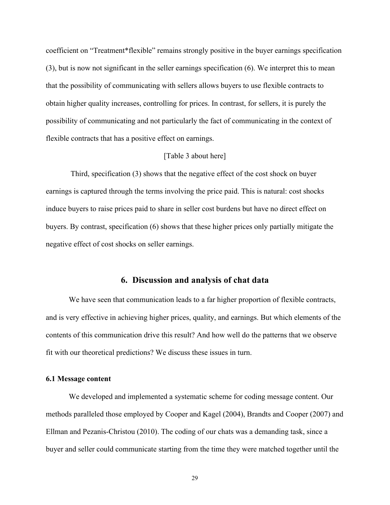coefficient on "Treatment\*flexible" remains strongly positive in the buyer earnings specification (3), but is now not significant in the seller earnings specification (6). We interpret this to mean that the possibility of communicating with sellers allows buyers to use flexible contracts to obtain higher quality increases, controlling for prices. In contrast, for sellers, it is purely the possibility of communicating and not particularly the fact of communicating in the context of flexible contracts that has a positive effect on earnings.

#### [Table 3 about here]

Third, specification (3) shows that the negative effect of the cost shock on buyer earnings is captured through the terms involving the price paid. This is natural: cost shocks induce buyers to raise prices paid to share in seller cost burdens but have no direct effect on buyers. By contrast, specification (6) shows that these higher prices only partially mitigate the negative effect of cost shocks on seller earnings.

#### **6. Discussion and analysis of chat data**

We have seen that communication leads to a far higher proportion of flexible contracts, and is very effective in achieving higher prices, quality, and earnings. But which elements of the contents of this communication drive this result? And how well do the patterns that we observe fit with our theoretical predictions? We discuss these issues in turn.

#### **6.1 Message content**

We developed and implemented a systematic scheme for coding message content. Our methods paralleled those employed by Cooper and Kagel (2004), Brandts and Cooper (2007) and Ellman and Pezanis-Christou (2010). The coding of our chats was a demanding task, since a buyer and seller could communicate starting from the time they were matched together until the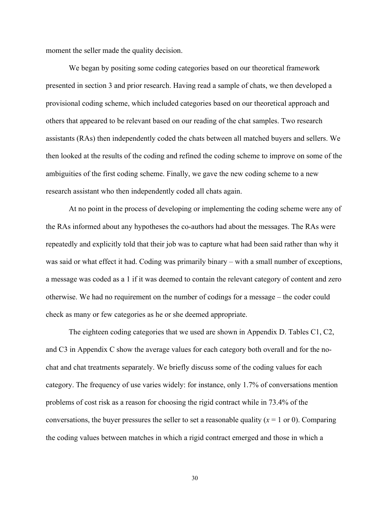moment the seller made the quality decision.

We began by positing some coding categories based on our theoretical framework presented in section 3 and prior research. Having read a sample of chats, we then developed a provisional coding scheme, which included categories based on our theoretical approach and others that appeared to be relevant based on our reading of the chat samples. Two research assistants (RAs) then independently coded the chats between all matched buyers and sellers. We then looked at the results of the coding and refined the coding scheme to improve on some of the ambiguities of the first coding scheme. Finally, we gave the new coding scheme to a new research assistant who then independently coded all chats again.

At no point in the process of developing or implementing the coding scheme were any of the RAs informed about any hypotheses the co-authors had about the messages. The RAs were repeatedly and explicitly told that their job was to capture what had been said rather than why it was said or what effect it had. Coding was primarily binary – with a small number of exceptions, a message was coded as a 1 if it was deemed to contain the relevant category of content and zero otherwise. We had no requirement on the number of codings for a message – the coder could check as many or few categories as he or she deemed appropriate.

The eighteen coding categories that we used are shown in Appendix D. Tables C1, C2, and C3 in Appendix C show the average values for each category both overall and for the nochat and chat treatments separately. We briefly discuss some of the coding values for each category. The frequency of use varies widely: for instance, only 1.7% of conversations mention problems of cost risk as a reason for choosing the rigid contract while in 73.4% of the conversations, the buyer pressures the seller to set a reasonable quality  $(x = 1 \text{ or } 0)$ . Comparing the coding values between matches in which a rigid contract emerged and those in which a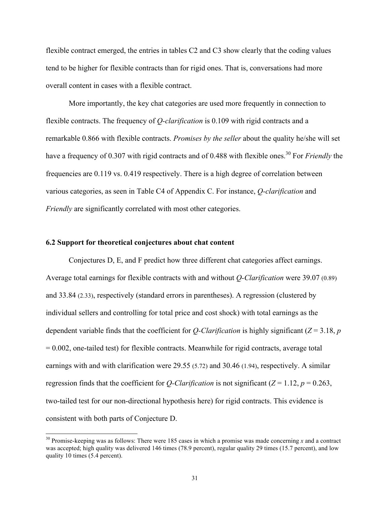flexible contract emerged, the entries in tables C2 and C3 show clearly that the coding values tend to be higher for flexible contracts than for rigid ones. That is, conversations had more overall content in cases with a flexible contract.

More importantly, the key chat categories are used more frequently in connection to flexible contracts. The frequency of *Q-clarification* is 0.109 with rigid contracts and a remarkable 0.866 with flexible contracts. *Promises by the seller* about the quality he/she will set have a frequency of 0.307 with rigid contracts and of 0.488 with flexible ones.<sup>30</sup> For *Friendly* the frequencies are 0.119 vs. 0.419 respectively. There is a high degree of correlation between various categories, as seen in Table C4 of Appendix C. For instance, *Q-clarification* and *Friendly* are significantly correlated with most other categories.

#### **6.2 Support for theoretical conjectures about chat content**

Conjectures D, E, and F predict how three different chat categories affect earnings. Average total earnings for flexible contracts with and without *Q-Clarification* were 39.07 (0.89) and 33.84 (2.33), respectively (standard errors in parentheses). A regression (clustered by individual sellers and controlling for total price and cost shock) with total earnings as the dependent variable finds that the coefficient for *Q-Clarification* is highly significant ( $Z = 3.18$ , *p*  $= 0.002$ , one-tailed test) for flexible contracts. Meanwhile for rigid contracts, average total earnings with and with clarification were 29.55 (5.72) and 30.46 (1.94), respectively. A similar regression finds that the coefficient for *Q-Clarification* is not significant ( $Z = 1.12$ ,  $p = 0.263$ , two-tailed test for our non-directional hypothesis here) for rigid contracts. This evidence is consistent with both parts of Conjecture D.

 <sup>30</sup> Promise-keeping was as follows: There were 185 cases in which a promise was made concerning *<sup>x</sup>* and a contract was accepted; high quality was delivered 146 times (78.9 percent), regular quality 29 times (15.7 percent), and low quality 10 times (5.4 percent).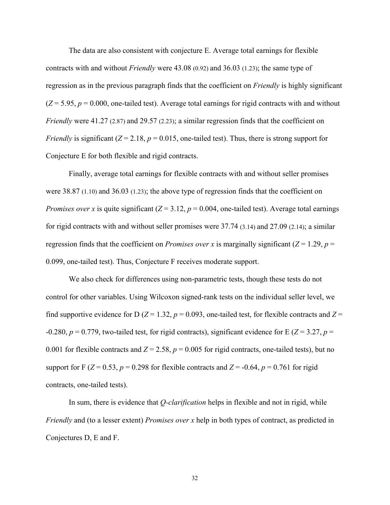The data are also consistent with conjecture E. Average total earnings for flexible contracts with and without *Friendly* were 43.08 (0.92) and 36.03 (1.23); the same type of regression as in the previous paragraph finds that the coefficient on *Friendly* is highly significant  $(Z = 5.95, p = 0.000,$  one-tailed test). Average total earnings for rigid contracts with and without *Friendly* were 41.27 (2.87) and 29.57 (2.23); a similar regression finds that the coefficient on *Friendly* is significant  $(Z = 2.18, p = 0.015$ , one-tailed test). Thus, there is strong support for Conjecture E for both flexible and rigid contracts.

Finally, average total earnings for flexible contracts with and without seller promises were 38.87 (1.10) and 36.03 (1.23); the above type of regression finds that the coefficient on *Promises over x* is quite significant ( $Z = 3.12$ ,  $p = 0.004$ , one-tailed test). Average total earnings for rigid contracts with and without seller promises were 37.74 (3.14) and 27.09 (2.14); a similar regression finds that the coefficient on *Promises over x* is marginally significant ( $Z = 1.29$ ,  $p =$ 0.099, one-tailed test). Thus, Conjecture F receives moderate support.

We also check for differences using non-parametric tests, though these tests do not control for other variables. Using Wilcoxon signed-rank tests on the individual seller level, we find supportive evidence for D ( $Z = 1.32$ ,  $p = 0.093$ , one-tailed test, for flexible contracts and  $Z =$ -0.280,  $p = 0.779$ , two-tailed test, for rigid contracts), significant evidence for E ( $Z = 3.27$ ,  $p =$ 0.001 for flexible contracts and  $Z = 2.58$ ,  $p = 0.005$  for rigid contracts, one-tailed tests), but no support for F ( $Z = 0.53$ ,  $p = 0.298$  for flexible contracts and  $Z = -0.64$ ,  $p = 0.761$  for rigid contracts, one-tailed tests).

In sum, there is evidence that *Q-clarification* helps in flexible and not in rigid, while *Friendly* and (to a lesser extent) *Promises over x* help in both types of contract, as predicted in Conjectures D, E and F.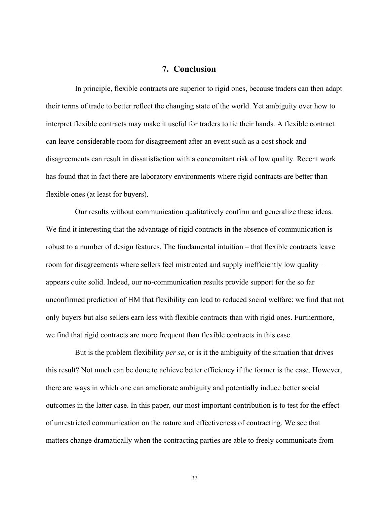#### **7. Conclusion**

In principle, flexible contracts are superior to rigid ones, because traders can then adapt their terms of trade to better reflect the changing state of the world. Yet ambiguity over how to interpret flexible contracts may make it useful for traders to tie their hands. A flexible contract can leave considerable room for disagreement after an event such as a cost shock and disagreements can result in dissatisfaction with a concomitant risk of low quality. Recent work has found that in fact there are laboratory environments where rigid contracts are better than flexible ones (at least for buyers).

Our results without communication qualitatively confirm and generalize these ideas. We find it interesting that the advantage of rigid contracts in the absence of communication is robust to a number of design features. The fundamental intuition – that flexible contracts leave room for disagreements where sellers feel mistreated and supply inefficiently low quality – appears quite solid. Indeed, our no-communication results provide support for the so far unconfirmed prediction of HM that flexibility can lead to reduced social welfare: we find that not only buyers but also sellers earn less with flexible contracts than with rigid ones. Furthermore, we find that rigid contracts are more frequent than flexible contracts in this case.

But is the problem flexibility *per se*, or is it the ambiguity of the situation that drives this result? Not much can be done to achieve better efficiency if the former is the case. However, there are ways in which one can ameliorate ambiguity and potentially induce better social outcomes in the latter case. In this paper, our most important contribution is to test for the effect of unrestricted communication on the nature and effectiveness of contracting. We see that matters change dramatically when the contracting parties are able to freely communicate from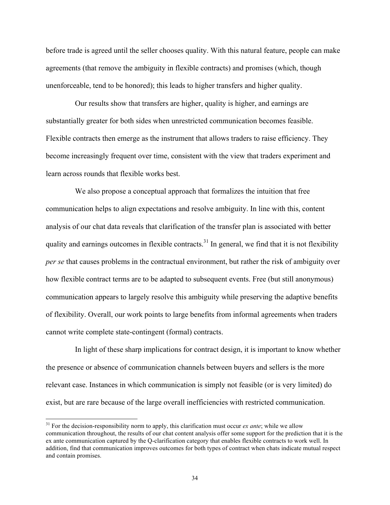before trade is agreed until the seller chooses quality. With this natural feature, people can make agreements (that remove the ambiguity in flexible contracts) and promises (which, though unenforceable, tend to be honored); this leads to higher transfers and higher quality.

Our results show that transfers are higher, quality is higher, and earnings are substantially greater for both sides when unrestricted communication becomes feasible. Flexible contracts then emerge as the instrument that allows traders to raise efficiency. They become increasingly frequent over time, consistent with the view that traders experiment and learn across rounds that flexible works best.

We also propose a conceptual approach that formalizes the intuition that free communication helps to align expectations and resolve ambiguity. In line with this, content analysis of our chat data reveals that clarification of the transfer plan is associated with better quality and earnings outcomes in flexible contracts.<sup>31</sup> In general, we find that it is not flexibility *per se* that causes problems in the contractual environment, but rather the risk of ambiguity over how flexible contract terms are to be adapted to subsequent events. Free (but still anonymous) communication appears to largely resolve this ambiguity while preserving the adaptive benefits of flexibility. Overall, our work points to large benefits from informal agreements when traders cannot write complete state-contingent (formal) contracts.

In light of these sharp implications for contract design, it is important to know whether the presence or absence of communication channels between buyers and sellers is the more relevant case. Instances in which communication is simply not feasible (or is very limited) do exist, but are rare because of the large overall inefficiencies with restricted communication.

<sup>&</sup>lt;sup>31</sup> For the decision-responsibility norm to apply, this clarification must occur *ex ante*; while we allow communication throughout, the results of our chat content analysis offer some support for the prediction that it is the ex ante communication captured by the Q-clarification category that enables flexible contracts to work well. In addition, find that communication improves outcomes for both types of contract when chats indicate mutual respect and contain promises.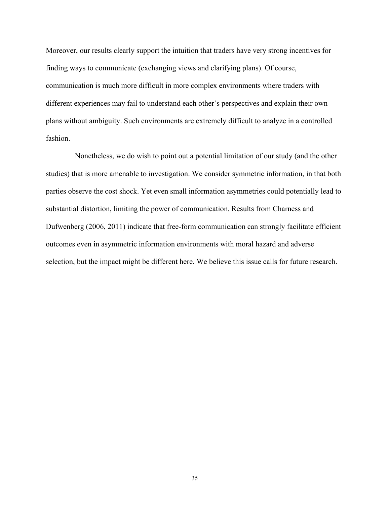Moreover, our results clearly support the intuition that traders have very strong incentives for finding ways to communicate (exchanging views and clarifying plans). Of course, communication is much more difficult in more complex environments where traders with different experiences may fail to understand each other's perspectives and explain their own plans without ambiguity. Such environments are extremely difficult to analyze in a controlled fashion.

Nonetheless, we do wish to point out a potential limitation of our study (and the other studies) that is more amenable to investigation. We consider symmetric information, in that both parties observe the cost shock. Yet even small information asymmetries could potentially lead to substantial distortion, limiting the power of communication. Results from Charness and Dufwenberg (2006, 2011) indicate that free-form communication can strongly facilitate efficient outcomes even in asymmetric information environments with moral hazard and adverse selection, but the impact might be different here. We believe this issue calls for future research.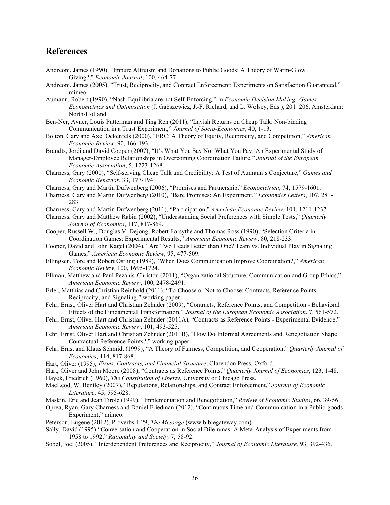#### **References**

- Andreoni, James (1990), "Impure Altruism and Donations to Public Goods: A Theory of Warm-Glow Giving?," *Economic Journal*, 100, 464-77.
- Andreoni, James (2005), "Trust, Reciprocity, and Contract Enforcement: Experiments on Satisfaction Guaranteed," mimeo.
- Aumann, Robert (1990), "Nash-Equilibria are not Self-Enforcing," in *Economic Decision Making: Games, Econometrics and Optimisation* (J. Gabszewicz, J.-F. Richard, and L. Wolsey, Eds.), 201–206. Amsterdam: North-Holland.
- Ben-Ner, Avner, Louis Putterman and Ting Ren (2011), "Lavish Returns on Cheap Talk: Non-binding Communication in a Trust Experiment," *Journal of Socio-Economics*, 40, 1-13.
- Bolton, Gary and Axel Ockenfels (2000), "ERC: A Theory of Equity, Reciprocity, and Competition," *American Economic Review*, 90, 166-193.
- Brandts, Jordi and David Cooper (2007), "It's What You Say Not What You Pay: An Experimental Study of Manager-Employee Relationships in Overcoming Coordination Failure," *Journal of the European Economic Association*, 5, 1223-1268.
- Charness, Gary (2000), "Self-serving Cheap Talk and Credibility: A Test of Aumann's Conjecture," *Games and Economic Behavior*, 33, 177-194
- Charness, Gary and Martin Dufwenberg (2006), "Promises and Partnership," *Econometrica*, 74, 1579-1601.
- Charness, Gary and Martin Dufwenberg (2010), "Bare Promises: An Experiment," *Economics Letters*, 107, 281- 283.
- Charness, Gary and Martin Dufwenberg (2011), "Participation," *American Economic Review*, 101, 1211-1237.
- Charness, Gary and Matthew Rabin (2002), "Understanding Social Preferences with Simple Tests," *Quarterly Journal of Economics*, 117, 817-869.
- Cooper, Russell W., Douglas V. Dejong, Robert Forsythe and Thomas Ross (1990), "Selection Criteria in Coordination Games: Experimental Results," *American Economic Review*, 80, 218-233.
- Cooper, David and John Kagel (2004), "Are Two Heads Better than One? Team vs. Individual Play in Signaling Games," *American Economic Review*, 95, 477-509.
- Ellingsen, Tore and Robert Östling (1989), "When Does Communication Improve Coordination?," *American Economic Review*, 100, 1695-1724.
- Ellman, Matthew and Paul Pezanis-Christou (2011), "Organizational Structure, Communication and Group Ethics," *American Economic Review*, 100, 2478-2491.
- Erlei, Matthias and Christian Reinhold (2011), "To Choose or Not to Choose: Contracts, Reference Points, Reciprocity, and Signaling," working paper.
- Fehr, Ernst, Oliver Hart and Christian Zehnder (2009), "Contracts, Reference Points, and Competition Behavioral Effects of the Fundamental Transformation," *Journal of the European Economic Association*, 7, 561-572.
- Fehr, Ernst, Oliver Hart and Christian Zehnder (2011A), "Contracts as Reference Points Experimental Evidence," *American Economic Review*, 101, 493-525.
- Fehr, Ernst, Oliver Hart and Christian Zehnder (2011B), "How Do Informal Agreements and Renegotiation Shape Contractual Reference Points?," working paper.
- Fehr, Ernst and Klaus Schmidt (1999), "A Theory of Fairness, Competition, and Cooperation," *Quarterly Journal of Economics*, 114, 817-868.
- Hart, Oliver (1995), *Firms, Contracts, and Financial Structure*, Clarendon Press, Oxford.
- Hart, Oliver and John Moore (2008), "Contracts as Reference Points," *Quarterly Journal of Economics*, 123, 1-48.
- Hayek, Friedrich (1960), *The Constitution of Liberty*, University of Chicago Press.
- MacLeod, W. Bentley (2007), "Reputations, Relationships, and Contract Enforcement," *Journal of Economic Literature*, 45, 595-628.
- Maskin, Eric and Jean Tirole (1999), "Implementation and Renegotiation," *Review of Economic Studies*, 66, 39-56.
- Oprea, Ryan, Gary Charness and Daniel Friedman (2012), "Continuous Time and Communication in a Public-goods Experiment," mimeo.
- Peterson, Eugene (2012), Proverbs 1:29, *The Message* (www.biblegateway.com).
- Sally, David (1995) "Conversation and Cooperation in Social Dilemmas: A Meta-Analysis of Experiments from 1958 to 1992," *Rationality and Society,* 7, 58-92.
- Sobel, Joel (2005), "Interdependent Preferences and Reciprocity," *Journal of Economic Literature,* 93, 392-436.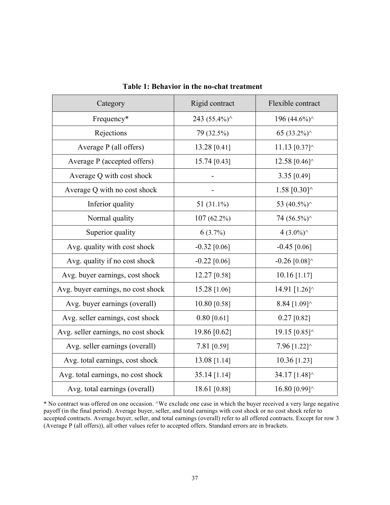| Category                            | Rigid contract | Flexible contract                            |
|-------------------------------------|----------------|----------------------------------------------|
| Frequency*                          | 243 (55.4%)^   | 196 (44.6%)^                                 |
| Rejections                          | 79 (32.5%)     | 65 (33.2%) $\wedge$                          |
| Average P (all offers)              | 13.28 [0.41]   | 11.13 $[0.37]$ ^                             |
| Average P (accepted offers)         | 15.74 [0.43]   | 12.58 $[0.46]$ <sup><math>\land</math></sup> |
| Average Q with cost shock           |                | 3.35 [0.49]                                  |
| Average Q with no cost shock        |                | 1.58 $[0.30]$ <sup><math>\wedge</math></sup> |
| Inferior quality                    | 51 $(31.1\%)$  | 53 (40.5%)^                                  |
| Normal quality                      | $107(62.2\%)$  | 74 (56.5%)^                                  |
| Superior quality                    | $6(3.7\%)$     | 4 $(3.0\%)^{\wedge}$                         |
| Avg. quality with cost shock        | $-0.32$ [0.06] | $-0.45$ [0.06]                               |
| Avg. quality if no cost shock       | $-0.22$ [0.06] | $-0.26$ [0.08] <sup><math>\land</math></sup> |
| Avg. buyer earnings, cost shock     | 12.27 [0.58]   | $10.16$ [1.17]                               |
| Avg. buyer earnings, no cost shock  | 15.28 [1.06]   | 14.91 [1.26]^                                |
| Avg. buyer earnings (overall)       | 10.80 [0.58]   | 8.84 [1.09]^                                 |
| Avg. seller earnings, cost shock    | $0.80$ [0.61]  | $0.27$ [0.82]                                |
| Avg. seller earnings, no cost shock | 19.86 [0.62]   | 19.15 [0.85]^                                |
| Avg. seller earnings (overall)      | 7.81 [0.59]    | 7.96 [1.22]^                                 |
| Avg. total earnings, cost shock     | 13.08 [1.14]   | $10.36$ [1.23]                               |
| Avg. total earnings, no cost shock  | 35.14 [1.14]   | 34.17 [1.48]^                                |
| Avg. total earnings (overall)       | 18.61 [0.88]   | 16.80 [0.99]^                                |

**Table 1: Behavior in the no-chat treatment**

\* No contract was offered on one occasion. ^We exclude one case in which the buyer received a very large negative payoff (in the final period). Average buyer, seller, and total earnings with cost shock or no cost shock refer to accepted contracts. Average.buyer, seller, and total earnings (overall) refer to all offered contracts. Except for row 3 (Average P (all offers)), all other values refer to accepted offers. Standard errors are in brackets.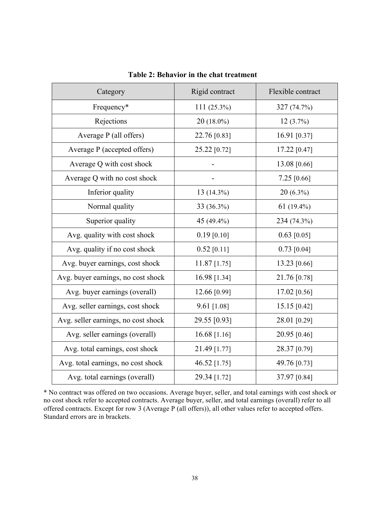| Category                            | Rigid contract | Flexible contract |
|-------------------------------------|----------------|-------------------|
| Frequency*                          | 111 (25.3%)    | 327 (74.7%)       |
| Rejections                          | $20(18.0\%)$   | $12(3.7\%)$       |
| Average P (all offers)              | 22.76 [0.83]   | 16.91 [0.37]      |
| Average P (accepted offers)         | 25.22 [0.72]   | 17.22 [0.47]      |
| Average Q with cost shock           |                | 13.08 [0.66]      |
| Average Q with no cost shock        |                | $7.25$ [0.66]     |
| Inferior quality                    | 13 (14.3%)     | $20(6.3\%)$       |
| Normal quality                      | 33 (36.3%)     | $61(19.4\%)$      |
| Superior quality                    | 45 (49.4%)     | 234 (74.3%)       |
| Avg. quality with cost shock        | $0.19$ [0.10]  | $0.63$ [0.05]     |
| Avg. quality if no cost shock       | $0.52$ [0.11]  | $0.73$ [0.04]     |
| Avg. buyer earnings, cost shock     | 11.87 [1.75]   | 13.23 [0.66]      |
| Avg. buyer earnings, no cost shock  | 16.98 [1.34]   | 21.76 [0.78]      |
| Avg. buyer earnings (overall)       | 12.66 [0.99]   | 17.02 [0.56]      |
| Avg. seller earnings, cost shock    | 9.61 [1.08]    | 15.15 [0.42]      |
| Avg. seller earnings, no cost shock | 29.55 [0.93]   | 28.01 [0.29]      |
| Avg. seller earnings (overall)      | 16.68 [1.16]   | 20.95 [0.46]      |
| Avg. total earnings, cost shock     | 21.49 [1.77]   | 28.37 [0.79]      |
| Avg. total earnings, no cost shock  | 46.52 [1.75]   | 49.76 [0.73]      |
| Avg. total earnings (overall)       | 29.34 [1.72]   | 37.97 [0.84]      |

**Table 2: Behavior in the chat treatment**

\* No contract was offered on two occasions. Average buyer, seller, and total earnings with cost shock or no cost shock refer to accepted contracts. Average buyer, seller, and total earnings (overall) refer to all offered contracts. Except for row 3 (Average P (all offers)), all other values refer to accepted offers. Standard errors are in brackets.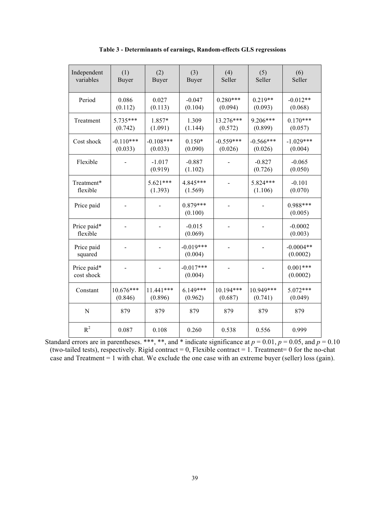| Independent<br>variables  | (1)<br><b>Buyer</b>    | (2)<br><b>Buyer</b>    | (3)<br><b>Buyer</b>    | (4)<br>Seller          | (5)<br>Seller          | (6)<br>Seller           |
|---------------------------|------------------------|------------------------|------------------------|------------------------|------------------------|-------------------------|
| Period                    | 0.086<br>(0.112)       | 0.027<br>(0.113)       | $-0.047$<br>(0.104)    | $0.280***$<br>(0.094)  | $0.219**$<br>(0.093)   | $-0.012**$<br>(0.068)   |
| Treatment                 | $5.735***$<br>(0.742)  | 1.857*<br>(1.091)      | 1.309<br>(1.144)       | 13.276***<br>(0.572)   | 9.206***<br>(0.899)    | $0.170***$<br>(0.057)   |
| Cost shock                | $-0.110***$<br>(0.033) | $-0.108***$<br>(0.033) | $0.150*$<br>(0.090)    | $-0.559***$<br>(0.026) | $-0.566***$<br>(0.026) | $-1.029***$<br>(0.004)  |
| Flexible                  |                        | $-1.017$<br>(0.919)    | $-0.887$<br>(1.102)    |                        | $-0.827$<br>(0.726)    | $-0.065$<br>(0.050)     |
| Treatment*<br>flexible    |                        | $5.621***$<br>(1.393)  | 4.845***<br>(1.569)    |                        | 5.824***<br>(1.106)    | $-0.101$<br>(0.070)     |
| Price paid                |                        |                        | $0.879***$<br>(0.100)  |                        |                        | $0.988***$<br>(0.005)   |
| Price paid*<br>flexible   |                        |                        | $-0.015$<br>(0.069)    |                        |                        | $-0.0002$<br>(0.003)    |
| Price paid<br>squared     |                        |                        | $-0.019***$<br>(0.004) |                        |                        | $-0.0004**$<br>(0.0002) |
| Price paid*<br>cost shock |                        |                        | $-0.017***$<br>(0.004) |                        |                        | $0.001***$<br>(0.0002)  |
| Constant                  | 10.676***<br>(0.846)   | $11.441***$<br>(0.896) | $6.149***$<br>(0.962)  | 10.194***<br>(0.687)   | 10.949***<br>(0.741)   | $5.072***$<br>(0.049)   |
| $\mathbf N$               | 879                    | 879                    | 879                    | 879                    | 879                    | 879                     |
| $R^2$                     | 0.087                  | 0.108                  | 0.260                  | 0.538                  | 0.556                  | 0.999                   |

**Table 3 - Determinants of earnings, Random-effects GLS regressions**

Standard errors are in parentheses. \*\*\*, \*\*, and \* indicate significance at  $p = 0.01$ ,  $p = 0.05$ , and  $p = 0.10$ (two-tailed tests), respectively. Rigid contract =  $0$ , Flexible contract = 1. Treatment= 0 for the no-chat case and Treatment = 1 with chat. We exclude the one case with an extreme buyer (seller) loss (gain).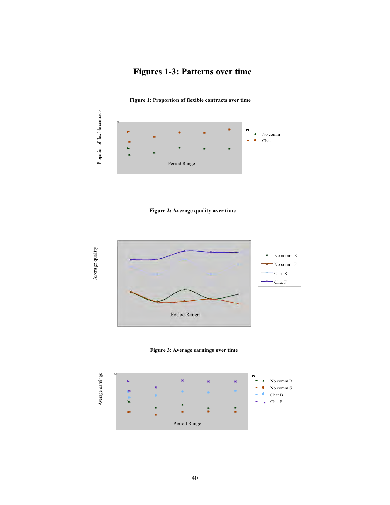## **Figures 1-3: Patterns over time**

**Figure 1: Proportion of flexible contracts over time** 



#### Figure 2: Average quality over time



**Figure 3: Average earnings over time** 

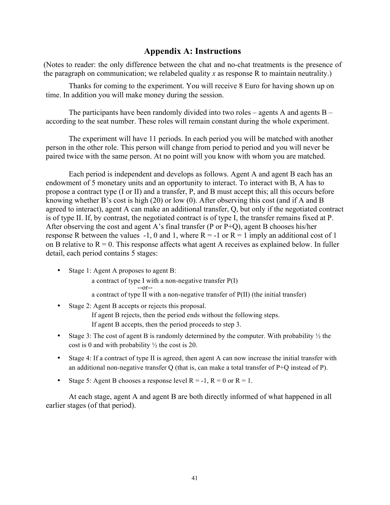### **Appendix A: Instructions**

(Notes to reader: the only difference between the chat and no-chat treatments is the presence of the paragraph on communication; we relabeled quality *x* as response R to maintain neutrality.)

Thanks for coming to the experiment. You will receive 8 Euro for having shown up on time. In addition you will make money during the session.

The participants have been randomly divided into two roles – agents A and agents B – according to the seat number. These roles will remain constant during the whole experiment.

The experiment will have 11 periods. In each period you will be matched with another person in the other role. This person will change from period to period and you will never be paired twice with the same person. At no point will you know with whom you are matched.

Each period is independent and develops as follows. Agent A and agent B each has an endowment of 5 monetary units and an opportunity to interact. To interact with B, A has to propose a contract type (I or II) and a transfer, P, and B must accept this; all this occurs before knowing whether B's cost is high (20) or low (0). After observing this cost (and if A and B agreed to interact), agent A can make an additional transfer, Q, but only if the negotiated contract is of type II. If, by contrast, the negotiated contract is of type I, the transfer remains fixed at P. After observing the cost and agent A's final transfer (P or P+Q), agent B chooses his/her response R between the values -1, 0 and 1, where  $R = -1$  or  $R = 1$  imply an additional cost of 1 on B relative to  $R = 0$ . This response affects what agent A receives as explained below. In fuller detail, each period contains 5 stages:

- Stage 1: Agent A proposes to agent B: a contract of type I with a non-negative transfer P(I) --or- a contract of type II with a non-negative transfer of P(II) (the initial transfer)
- Stage 2: Agent B accepts or rejects this proposal. If agent B rejects, then the period ends without the following steps. If agent B accepts, then the period proceeds to step 3.
- Stage 3: The cost of agent B is randomly determined by the computer. With probability  $\frac{1}{2}$  the cost is 0 and with probability  $\frac{1}{2}$  the cost is 20.
- Stage 4: If a contract of type II is agreed, then agent A can now increase the initial transfer with an additional non-negative transfer  $O$  (that is, can make a total transfer of  $P+O$  instead of P).
- Stage 5: Agent B chooses a response level  $R = -1$ ,  $R = 0$  or  $R = 1$ .

At each stage, agent A and agent B are both directly informed of what happened in all earlier stages (of that period).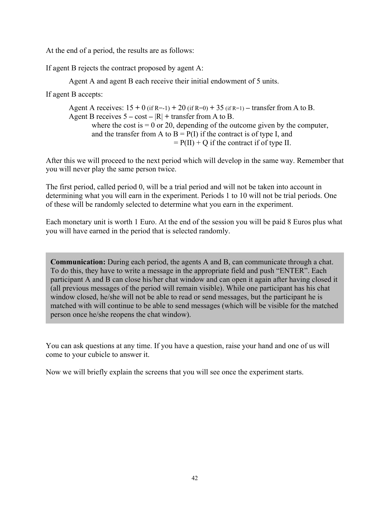At the end of a period, the results are as follows:

If agent B rejects the contract proposed by agent A:

Agent A and agent B each receive their initial endowment of 5 units.

If agent B accepts:

Agent A receives:  $15 + 0$  (if R=-1)  $+ 20$  (if R=0)  $+ 35$  (if R=1)  $-$  transfer from A to B. Agent B receives  $5 - \cos t - |R| + \text{transfer from } A \text{ to } B.$ where the cost is  $= 0$  or 20, depending of the outcome given by the computer, and the transfer from A to  $B = P(I)$  if the contract is of type I, and  $= P(II) + Q$  if the contract if of type II.

After this we will proceed to the next period which will develop in the same way. Remember that you will never play the same person twice.

The first period, called period 0, will be a trial period and will not be taken into account in determining what you will earn in the experiment. Periods 1 to 10 will not be trial periods. One of these will be randomly selected to determine what you earn in the experiment.

Each monetary unit is worth 1 Euro. At the end of the session you will be paid 8 Euros plus what you will have earned in the period that is selected randomly.

**Communication:** During each period, the agents A and B, can communicate through a chat. To do this, they have to write a message in the appropriate field and push "ENTER". Each participant A and B can close his/her chat window and can open it again after having closed it (all previous messages of the period will remain visible). While one participant has his chat window closed, he/she will not be able to read or send messages, but the participant he is matched with will continue to be able to send messages (which will be visible for the matched person once he/she reopens the chat window).

You can ask questions at any time. If you have a question, raise your hand and one of us will come to your cubicle to answer it.

Now we will briefly explain the screens that you will see once the experiment starts.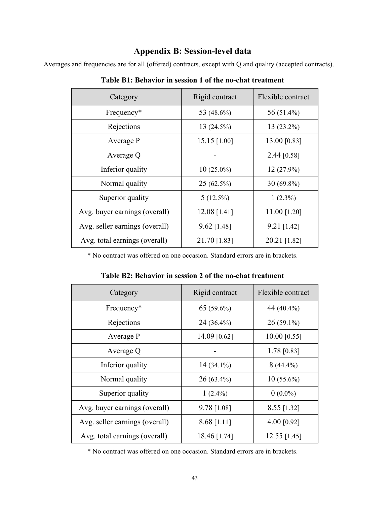## **Appendix B: Session-level data**

Averages and frequencies are for all (offered) contracts, except with Q and quality (accepted contracts).

| Category                       | Rigid contract | Flexible contract |
|--------------------------------|----------------|-------------------|
| Frequency*                     | 53 (48.6%)     | 56 (51.4%)        |
| Rejections                     | 13(24.5%)      | $13(23.2\%)$      |
| Average P                      | $15.15$ [1.00] | 13.00 [0.83]      |
| Average Q                      |                | 2.44 [0.58]       |
| Inferior quality               | $10(25.0\%)$   | $12(27.9\%)$      |
| Normal quality                 | $25(62.5\%)$   | $30(69.8\%)$      |
| Superior quality               | $5(12.5\%)$    | $1(2.3\%)$        |
| Avg. buyer earnings (overall)  | $12.08$ [1.41] | 11.00 [1.20]      |
| Avg. seller earnings (overall) | $9.62$ [1.48]  | $9.21$ [1.42]     |
| Avg. total earnings (overall)  | 21.70 [1.83]   | 20.21 [1.82]      |

**Table B1: Behavior in session 1 of the no-chat treatment**

\* No contract was offered on one occasion. Standard errors are in brackets.

| Table B2: Behavior in session 2 of the no-chat treatment |  |  |
|----------------------------------------------------------|--|--|
|----------------------------------------------------------|--|--|

| Category                       | Rigid contract | Flexible contract |
|--------------------------------|----------------|-------------------|
| Frequency*                     | $65(59.6\%)$   | 44 (40.4%)        |
| Rejections                     | $24(36.4\%)$   | $26(59.1\%)$      |
| Average P                      | 14.09 [0.62]   | $10.00$ [0.55]    |
| Average Q                      |                | $1.78$ [0.83]     |
| Inferior quality               | $14(34.1\%)$   | $8(44.4\%)$       |
| Normal quality                 | $26(63.4\%)$   | $10(55.6\%)$      |
| Superior quality               | $1(2.4\%)$     | $0(0.0\%)$        |
| Avg. buyer earnings (overall)  | 9.78 [1.08]    | 8.55 [1.32]       |
| Avg. seller earnings (overall) | $8.68$ [1.11]  | 4.00 $[0.92]$     |
| Avg. total earnings (overall)  | 18.46 [1.74]   | $12.55$ [1.45]    |

\* No contract was offered on one occasion. Standard errors are in brackets.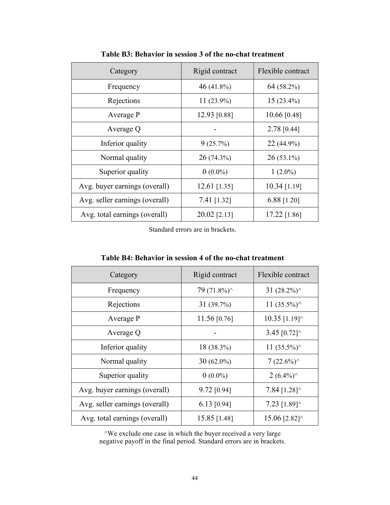| Category                       | Rigid contract | Flexible contract |
|--------------------------------|----------------|-------------------|
| Frequency                      | 46 $(41.8\%)$  | 64 (58.2%)        |
| Rejections                     | $11(23.9\%)$   | $15(23.4\%)$      |
| Average P                      | 12.93 [0.88]   | $10.66$ [0.48]    |
| Average Q                      |                | 2.78 [0.44]       |
| Inferior quality               | 9(25.7%)       | 22 (44.9%)        |
| Normal quality                 | $26(74.3\%)$   | $26(53.1\%)$      |
| Superior quality               | $0(0.0\%)$     | 1 $(2.0\%)$       |
| Avg. buyer earnings (overall)  | $12.61$ [1.35] | $10.34$ [1.19]    |
| Avg. seller earnings (overall) | 7.41 [1.32]    | 6.88 $[1.20]$     |
| Avg. total earnings (overall)  | 20.02 [2.13]   | 17.22 [1.86]      |

**Table B3: Behavior in session 3 of the no-chat treatment**

Standard errors are in brackets.

| Category                       | Rigid contract         | Flexible contract                             |
|--------------------------------|------------------------|-----------------------------------------------|
| Frequency                      | 79 $(71.8\%)^{\wedge}$ | 31 $(28.2\%)^{\wedge}$                        |
| Rejections                     | 31(39.7%)              | 11 $(35.5\%)^{\wedge}$                        |
| Average P                      | 11.56 $[0.76]$         | $10.35$ [1.19] <sup><math>\wedge</math></sup> |
| Average Q                      |                        | 3.45 $[0.72]$ <sup><math>\land</math></sup>   |
| Inferior quality               | 18 (38.3%)             | 11 $(35.5\%)^{\wedge}$                        |
| Normal quality                 | $30(62.0\%)$           | $7(22.6\%)^{\wedge}$                          |
| Superior quality               | $0(0.0\%)$             | $2(6.4\%)^{\wedge}$                           |
| Avg. buyer earnings (overall)  | $9.72$ [0.94]          | 7.84 $[1.28]$ <sup><math>\wedge</math></sup>  |
| Avg. seller earnings (overall) | $6.13$ [0.94]          | 7.23 $[1.89]$ <sup><math>\land</math></sup>   |
| Avg. total earnings (overall)  | 15.85 [1.48]           | 15.06 [2.82] <sup><math>\land</math></sup>    |

| Table B4: Behavior in session 4 of the no-chat treatment |  |
|----------------------------------------------------------|--|
|----------------------------------------------------------|--|

^We exclude one case in which the buyer received a very large negative payoff in the final period. Standard errors are in brackets.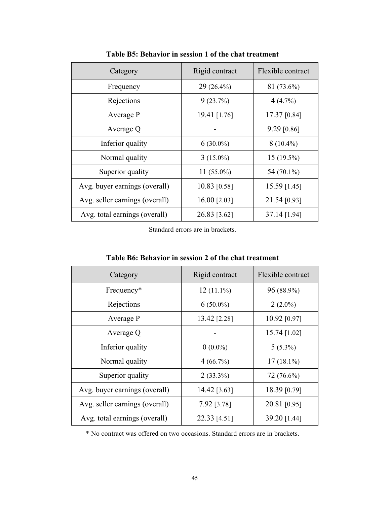| Category                       | Rigid contract | Flexible contract |
|--------------------------------|----------------|-------------------|
| Frequency                      | 29 (26.4%)     | 81 (73.6%)        |
| Rejections                     | 9(23.7%)       | 4(4.7%)           |
| Average P                      | 19.41 [1.76]   | 17.37 [0.84]      |
| Average Q                      |                | $9.29$ [0.86]     |
| Inferior quality               | $6(30.0\%)$    | $8(10.4\%)$       |
| Normal quality                 | $3(15.0\%)$    | $15(19.5\%)$      |
| Superior quality               | 11 $(55.0\%)$  | 54 (70.1%)        |
| Avg. buyer earnings (overall)  | 10.83 [0.58]   | $15.59$ [1.45]    |
| Avg. seller earnings (overall) | 16.00 [2.03]   | 21.54 [0.93]      |
| Avg. total earnings (overall)  | 26.83 [3.62]   | 37.14 [1.94]      |

**Table B5: Behavior in session 1 of the chat treatment**

Standard errors are in brackets.

| Category                       | Rigid contract | Flexible contract |
|--------------------------------|----------------|-------------------|
| Frequency*                     | $12(11.1\%)$   | 96 (88.9%)        |
| Rejections                     | $6(50.0\%)$    | $2(2.0\%)$        |
| Average P                      | 13.42 [2.28]   | 10.92 [0.97]      |
| Average Q                      |                | 15.74 [1.02]      |
| Inferior quality               | $0(0.0\%)$     | $5(5.3\%)$        |
| Normal quality                 | 4(66.7%)       | $17(18.1\%)$      |
| Superior quality               | $2(33.3\%)$    | $72(76.6\%)$      |
| Avg. buyer earnings (overall)  | 14.42 [3.63]   | 18.39 [0.79]      |
| Avg. seller earnings (overall) | 7.92 [3.78]    | 20.81 [0.95]      |
| Avg. total earnings (overall)  | 22.33 [4.51]   | 39.20 [1.44]      |

**Table B6: Behavior in session 2 of the chat treatment**

\* No contract was offered on two occasions. Standard errors are in brackets.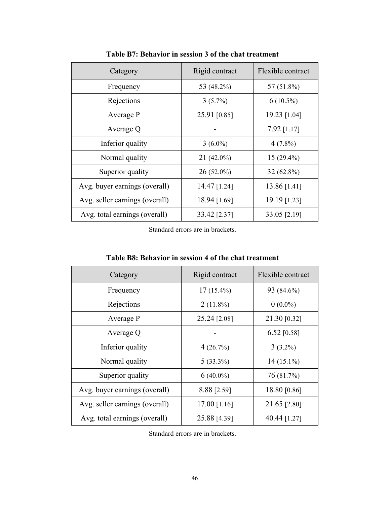| Category                       | Rigid contract | Flexible contract |
|--------------------------------|----------------|-------------------|
| Frequency                      | 53 (48.2%)     | 57 $(51.8\%)$     |
| Rejections                     | $3(5.7\%)$     | $6(10.5\%)$       |
| Average P                      | 25.91 [0.85]   | 19.23 [1.04]      |
| Average Q                      |                | $7.92$ [1.17]     |
| Inferior quality               | $3(6.0\%)$     | $4(7.8\%)$        |
| Normal quality                 | $21(42.0\%)$   | $15(29.4\%)$      |
| Superior quality               | $26(52.0\%)$   | $32(62.8\%)$      |
| Avg. buyer earnings (overall)  | 14.47 [1.24]   | 13.86 [1.41]      |
| Avg. seller earnings (overall) | 18.94 [1.69]   | 19.19 [1.23]      |
| Avg. total earnings (overall)  | 33.42 [2.37]   | 33.05 [2.19]      |

**Table B7: Behavior in session 3 of the chat treatment**

Standard errors are in brackets.

| Category                       | Rigid contract | Flexible contract |  |  |
|--------------------------------|----------------|-------------------|--|--|
| Frequency                      | $17(15.4\%)$   | 93 (84.6%)        |  |  |
| Rejections                     | $2(11.8\%)$    | $0(0.0\%)$        |  |  |
| Average P                      | 25.24 [2.08]   | 21.30 [0.32]      |  |  |
| Average Q                      |                | 6.52 [0.58]       |  |  |
| Inferior quality               | 4(26.7%)       | $3(3.2\%)$        |  |  |
| Normal quality                 | $5(33.3\%)$    | $14(15.1\%)$      |  |  |
| Superior quality               | $6(40.0\%)$    | 76 (81.7%)        |  |  |
| Avg. buyer earnings (overall)  | 8.88 [2.59]    | 18.80 [0.86]      |  |  |
| Avg. seller earnings (overall) | $17.00$ [1.16] | 21.65 [2.80]      |  |  |
| Avg. total earnings (overall)  | 25.88 [4.39]   | 40.44 [1.27]      |  |  |

**Table B8: Behavior in session 4 of the chat treatment**

Standard errors are in brackets.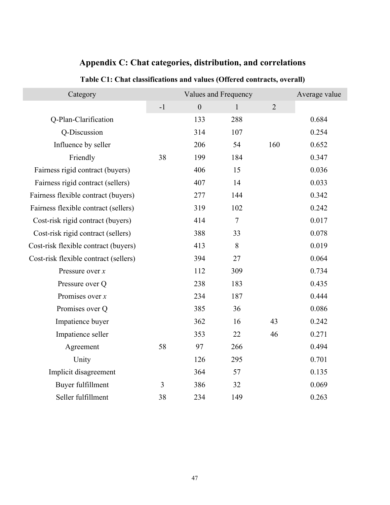| Category                              |      | Values and Frequency | Average value  |                |       |
|---------------------------------------|------|----------------------|----------------|----------------|-------|
|                                       | $-1$ | $\boldsymbol{0}$     | $\mathbf{1}$   | $\overline{2}$ |       |
| Q-Plan-Clarification                  |      | 133                  | 288            |                | 0.684 |
| Q-Discussion                          |      | 314                  | 107            |                | 0.254 |
| Influence by seller                   |      | 206                  | 54             | 160            | 0.652 |
| Friendly                              | 38   | 199                  | 184            |                | 0.347 |
| Fairness rigid contract (buyers)      |      | 406                  | 15             |                | 0.036 |
| Fairness rigid contract (sellers)     |      | 407                  | 14             |                | 0.033 |
| Fairness flexible contract (buyers)   |      | 277                  | 144            |                | 0.342 |
| Fairness flexible contract (sellers)  |      | 319                  | 102            |                | 0.242 |
| Cost-risk rigid contract (buyers)     |      | 414                  | $\overline{7}$ |                | 0.017 |
| Cost-risk rigid contract (sellers)    |      | 388                  | 33             |                | 0.078 |
| Cost-risk flexible contract (buyers)  |      | 413                  | 8              |                | 0.019 |
| Cost-risk flexible contract (sellers) |      | 394                  | 27             |                | 0.064 |
| Pressure over $x$                     |      | 112                  | 309            |                | 0.734 |
| Pressure over Q                       |      | 238                  | 183            |                | 0.435 |
| Promises over $x$                     |      | 234                  | 187            |                | 0.444 |
| Promises over Q                       |      | 385                  | 36             |                | 0.086 |
| Impatience buyer                      |      | 362                  | 16             | 43             | 0.242 |
| Impatience seller                     |      | 353                  | 22             | 46             | 0.271 |
| Agreement                             | 58   | 97                   | 266            |                | 0.494 |
| Unity                                 |      | 126                  | 295            |                | 0.701 |
| Implicit disagreement                 |      | 364                  | 57             |                | 0.135 |
| Buyer fulfillment                     | 3    | 386                  | 32             |                | 0.069 |
| Seller fulfillment                    | 38   | 234                  | 149            |                | 0.263 |

## **Appendix C: Chat categories, distribution, and correlations**

**Table C1: Chat classifications and values (Offered contracts, overall)**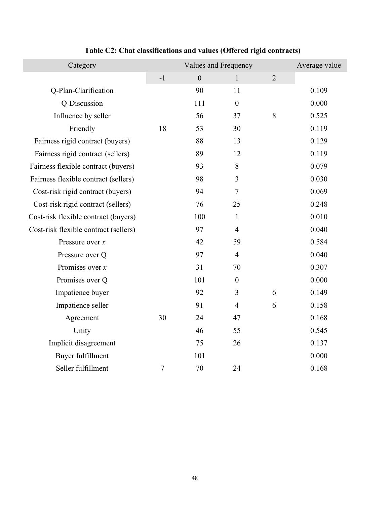| Category                              |      | Values and Frequency |                  | Average value  |       |
|---------------------------------------|------|----------------------|------------------|----------------|-------|
|                                       | $-1$ | $\mathbf{0}$         | $\mathbf{1}$     | $\overline{2}$ |       |
| Q-Plan-Clarification                  |      | 90                   | 11               |                | 0.109 |
| Q-Discussion                          |      | 111                  | $\boldsymbol{0}$ |                | 0.000 |
| Influence by seller                   |      | 56                   | 37               | 8              | 0.525 |
| Friendly                              | 18   | 53                   | 30               |                | 0.119 |
| Fairness rigid contract (buyers)      |      | 88                   | 13               |                | 0.129 |
| Fairness rigid contract (sellers)     |      | 89                   | 12               |                | 0.119 |
| Fairness flexible contract (buyers)   |      | 93                   | 8                |                | 0.079 |
| Fairness flexible contract (sellers)  |      | 98                   | 3                |                | 0.030 |
| Cost-risk rigid contract (buyers)     |      | 94                   | $\overline{7}$   |                | 0.069 |
| Cost-risk rigid contract (sellers)    |      | 76                   | 25               |                | 0.248 |
| Cost-risk flexible contract (buyers)  |      | 100                  | $\mathbf{1}$     |                | 0.010 |
| Cost-risk flexible contract (sellers) |      | 97                   | $\overline{4}$   |                | 0.040 |
| Pressure over $x$                     |      | 42                   | 59               |                | 0.584 |
| Pressure over Q                       |      | 97                   | $\overline{4}$   |                | 0.040 |
| Promises over $x$                     |      | 31                   | 70               |                | 0.307 |
| Promises over Q                       |      | 101                  | $\boldsymbol{0}$ |                | 0.000 |
| Impatience buyer                      |      | 92                   | 3                | 6              | 0.149 |
| Impatience seller                     |      | 91                   | $\overline{4}$   | 6              | 0.158 |
| Agreement                             | 30   | 24                   | 47               |                | 0.168 |
| Unity                                 |      | 46                   | 55               |                | 0.545 |
| Implicit disagreement                 |      | 75                   | 26               |                | 0.137 |
| Buyer fulfillment                     |      | 101                  |                  |                | 0.000 |
| Seller fulfillment                    | 7    | 70                   | 24               |                | 0.168 |

## **Table C2: Chat classifications and values (Offered rigid contracts)**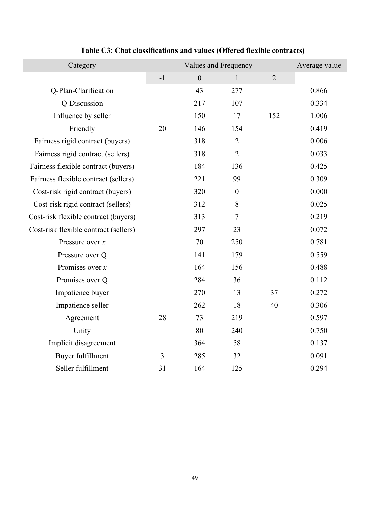| Category                              | Values and Frequency |              |                  |                | Average value |
|---------------------------------------|----------------------|--------------|------------------|----------------|---------------|
|                                       | $-1$                 | $\mathbf{0}$ | $\mathbf{1}$     | $\overline{2}$ |               |
| Q-Plan-Clarification                  |                      | 43           | 277              |                | 0.866         |
| Q-Discussion                          |                      | 217          | 107              |                | 0.334         |
| Influence by seller                   |                      | 150          | 17               | 152            | 1.006         |
| Friendly                              | 20                   | 146          | 154              |                | 0.419         |
| Fairness rigid contract (buyers)      |                      | 318          | $\overline{2}$   |                | 0.006         |
| Fairness rigid contract (sellers)     |                      | 318          | $\overline{2}$   |                | 0.033         |
| Fairness flexible contract (buyers)   |                      | 184          | 136              |                | 0.425         |
| Fairness flexible contract (sellers)  |                      | 221          | 99               |                | 0.309         |
| Cost-risk rigid contract (buyers)     |                      | 320          | $\boldsymbol{0}$ |                | 0.000         |
| Cost-risk rigid contract (sellers)    |                      | 312          | $8\,$            |                | 0.025         |
| Cost-risk flexible contract (buyers)  |                      | 313          | $\overline{7}$   |                | 0.219         |
| Cost-risk flexible contract (sellers) |                      | 297          | 23               |                | 0.072         |
| Pressure over $x$                     |                      | 70           | 250              |                | 0.781         |
| Pressure over Q                       |                      | 141          | 179              |                | 0.559         |
| Promises over $x$                     |                      | 164          | 156              |                | 0.488         |
| Promises over Q                       |                      | 284          | 36               |                | 0.112         |
| Impatience buyer                      |                      | 270          | 13               | 37             | 0.272         |
| Impatience seller                     |                      | 262          | 18               | 40             | 0.306         |
| Agreement                             | 28                   | 73           | 219              |                | 0.597         |
| Unity                                 |                      | 80           | 240              |                | 0.750         |
| Implicit disagreement                 |                      | 364          | 58               |                | 0.137         |
| Buyer fulfillment                     | 3                    | 285          | 32               |                | 0.091         |
| Seller fulfillment                    | 31                   | 164          | 125              |                | 0.294         |

## **Table C3: Chat classifications and values (Offered flexible contracts)**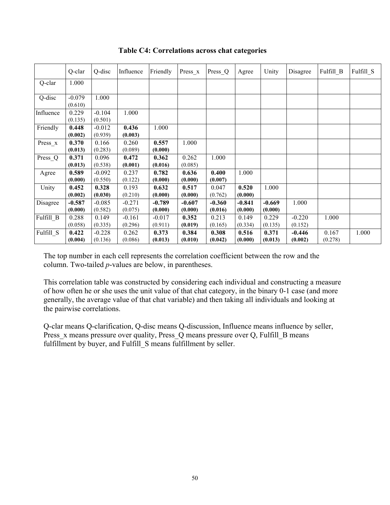|                    | Q-clar              | Q-disc              | Influence           | Friendly            | $Press_x$           | Press_Q             | Agree               | Unity               | Disagree            | Fulfill B        | Fulfill S |
|--------------------|---------------------|---------------------|---------------------|---------------------|---------------------|---------------------|---------------------|---------------------|---------------------|------------------|-----------|
| Q-clar             | 1.000               |                     |                     |                     |                     |                     |                     |                     |                     |                  |           |
| Q-disc             | $-0.079$<br>(0.610) | 1.000               |                     |                     |                     |                     |                     |                     |                     |                  |           |
| Influence          | 0.229<br>(0.135)    | $-0.104$<br>(0.501) | 1.000               |                     |                     |                     |                     |                     |                     |                  |           |
| Friendly           | 0.448<br>(0.002)    | $-0.012$<br>(0.939) | 0.436<br>(0.003)    | 1.000               |                     |                     |                     |                     |                     |                  |           |
| $Press_x$          | 0.370<br>(0.013)    | 0.166<br>(0.283)    | 0.260<br>(0.089)    | 0.557<br>(0.000)    | 1.000               |                     |                     |                     |                     |                  |           |
| Press <sub>Q</sub> | 0.371<br>(0.013)    | 0.096<br>(0.538)    | 0.472<br>(0.001)    | 0.362<br>(0.016)    | 0.262<br>(0.085)    | 1.000               |                     |                     |                     |                  |           |
| Agree              | 0.589<br>(0.000)    | $-0.092$<br>(0.550) | 0.237<br>(0.122)    | 0.782<br>(0.000)    | 0.636<br>(0.000)    | 0.400<br>(0.007)    | 1.000               |                     |                     |                  |           |
| Unity              | 0.452<br>(0.002)    | 0.328<br>(0.030)    | 0.193<br>(0.210)    | 0.632<br>(0.000)    | 0.517<br>(0.000)    | 0.047<br>(0.762)    | 0.520<br>(0.000)    | 1.000               |                     |                  |           |
| Disagree           | $-0.587$<br>(0.000) | $-0.085$<br>(0.582) | $-0.271$<br>(0.075) | $-0.789$<br>(0.000) | $-0.607$<br>(0.000) | $-0.360$<br>(0.016) | $-0.841$<br>(0.000) | $-0.669$<br>(0.000) | 1.000               |                  |           |
| Fulfill B          | 0.288<br>(0.058)    | 0.149<br>(0.335)    | $-0.161$<br>(0.296) | $-0.017$<br>(0.911) | 0.352<br>(0.019)    | 0.213<br>(0.165)    | 0.149<br>(0.334)    | 0.229<br>(0.135)    | $-0.220$<br>(0.152) | 1.000            |           |
| Fulfill S          | 0.422<br>(0.004)    | $-0.228$<br>(0.136) | 0.262<br>(0.086)    | 0.373<br>(0.013)    | 0.384<br>(0.010)    | 0.308<br>(0.042)    | 0.516<br>(0.000)    | 0.371<br>(0.013)    | $-0.446$<br>(0.002) | 0.167<br>(0.278) | 1.000     |

**Table C4: Correlations across chat categories**

The top number in each cell represents the correlation coefficient between the row and the column. Two-tailed *p*-values are below, in parentheses.

This correlation table was constructed by considering each individual and constructing a measure of how often he or she uses the unit value of that chat category, in the binary 0-1 case (and more generally, the average value of that chat variable) and then taking all individuals and looking at the pairwise correlations.

Q-clar means Q-clarification, Q-disc means Q-discussion, Influence means influence by seller, Press x means pressure over quality, Press Q means pressure over Q, Fulfill B means fulfillment by buyer, and Fulfill\_S means fulfillment by seller.